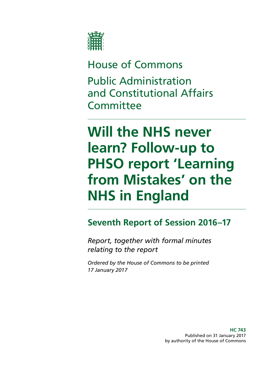

# House of Commons Public Administration and Constitutional Affairs **Committee**

# **Will the NHS never learn? Follow-up to PHSO report 'Learning from Mistakes' on the NHS in England**

## **Seventh Report of Session 2016–17**

*Report, together with formal minutes relating to the report* 

*Ordered by the House of Commons to be printed 17 January 2017*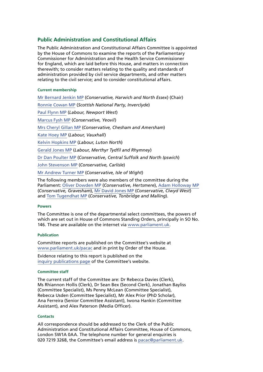#### **Public Administration and Constitutional Affairs**

The Public Administration and Constitutional Affairs Committee is appointed by the House of Commons to examine the reports of the Parliamentary Commissioner for Administration and the Health Service Commissioner for England, which are laid before this House, and matters in connection therewith; to consider matters relating to the quality and standards of administration provided by civil service departments, and other matters relating to the civil service; and to consider constitutional affairs.

#### **Current membership**

[Mr Bernard Jenkin MP](http://www.parliament.uk/biographies/commons/mr-bernard-jenkin/40) (*Conservative, Harwich and North Essex*) (Chair) [Ronnie Cowan MP](http://www.parliament.uk/biographies/commons/ronnie-cowan/4465) (*Scottish National Party, Inverclyde*) [Paul Flynn MP](http://www.parliament.uk/biographies/commons/paul-flynn/545) (*Labour, Newport West*) [Marcus Fysh MP](http://www.parliament.uk/biographies/commons/marcus-fysh/4446) (*Conservative, Yeovil*) [Mrs Cheryl Gillan MP](http://www.parliament.uk/biographies/commons/mrs-cheryl-gillan/18) (*Conservative, Chesham and Amersham*) [Kate Hoey MP](http://www.parliament.uk/biographies/commons/kate-hoey/210) (*Labour, Vauxhall*) [Kelvin Hopkins MP](http://www.parliament.uk/biographies/commons/kelvin-hopkins/2) (*Labour, Luton North*) [Gerald Jones MP](http://www.parliament.uk/biographies/commons/gerald-jones/4501) (*Labour, Merthyr Tydfil and Rhymney*) [Dr Dan Poulter MP](http://www.parliament.uk/biographies/commons/dr-dan-poulter/3932) (*Conservative, Central Suffolk and North Ipswich*) [John Stevenson MP](http://www.parliament.uk/biographies/commons/john-stevenson/3942) (*Conservative, Carlisle*) [Mr Andrew Turner MP](http://www.parliament.uk/biographies/commons/mr-andrew-turner/1426) (*Conservative, Isle of Wight*)

 Parliament: [Oliver Dowden MP](http://www.parliament.uk/biographies/commons/oliver-dowden/4441) (*Conservative, Hertsmere*), [Adam Holloway MP](http://www.parliament.uk/biographies/commons/adam-holloway/1522)  (*Conservative, Gravesham*), [Mr David Jones MP](http://www.parliament.uk/biographies/commons/mr-david-jones/1502) (*Conservative, Clwyd West*) The following members were also members of the committee during the and [Tom Tugendhat MP](http://www.parliament.uk/biographies/commons/tom-tugendhat/4462) (*Conservative, Tonbridge and Malling*).

#### **Powers**

The Committee is one of the departmental select committees, the powers of which are set out in House of Commons Standing Orders, principally in SO No. 146. These are available on the internet via [www.parliament.uk.](http://www.parliament.uk/)

#### **Publication**

Committee reports are published on the Committee's website at [www.parliament.uk/pacac](http://www.parliament.uk/business/committees/committees-a-z/commons-select/public-administration-and-constitutional-affairs-committee/) and in print by Order of the House.

Evidence relating to this report is published on the [inquiry publications page](http://www.parliament.uk/business/committees/committees-a-z/commons-select/public-administration-and-constitutional-affairs-committee/inquiries/parliament-2015/phso-learning-from-mistakes-inquiry/publications/) of the Committee's website.

#### **Committee staff**

The current staff of the Committee are: Dr Rebecca Davies (Clerk), Ms Rhiannon Hollis (Clerk), Dr Sean Bex (Second Clerk), Jonathan Bayliss (Committee Specialist), Ms Penny McLean (Committee Specialist), Rebecca Usden (Committee Specialist), Mr Alex Prior (PhD Scholar), Ana Ferreira (Senior Committee Assistant), Iwona Hankin (Committee Assistant), and Alex Paterson (Media Officer).

#### **Contacts**

 020 7219 3268, the Committee's email address is [pacac@parliament.uk](mailto:pacac@parliament.uk). All correspondence should be addressed to the Clerk of the Public Administration and Constitutional Affairs Committee, House of Commons, London SW1A 0AA. The telephone number for general enquiries is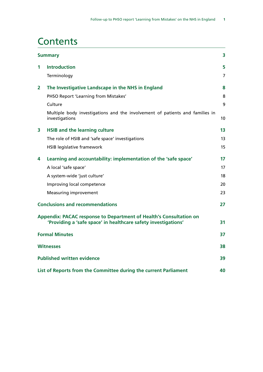### **Contents**

|   | <b>Summary</b>                                                                                                                       |    |  |
|---|--------------------------------------------------------------------------------------------------------------------------------------|----|--|
| 1 | <b>Introduction</b>                                                                                                                  | 5  |  |
|   | Terminology                                                                                                                          | 7  |  |
| 2 | The Investigative Landscape in the NHS in England                                                                                    | 8  |  |
|   | PHSO Report 'Learning from Mistakes'                                                                                                 | 8  |  |
|   | Culture                                                                                                                              | 9  |  |
|   | Multiple body investigations and the involvement of patients and families in<br>investigations                                       | 10 |  |
| 3 | <b>HSIB and the learning culture</b>                                                                                                 | 13 |  |
|   | The role of HSIB and 'safe space' investigations                                                                                     | 13 |  |
|   | <b>HSIB legislative framework</b>                                                                                                    | 15 |  |
| 4 | Learning and accountability: implementation of the 'safe space'                                                                      | 17 |  |
|   | A local 'safe space'                                                                                                                 | 17 |  |
|   | A system-wide 'just culture'                                                                                                         | 18 |  |
|   | Improving local competence                                                                                                           | 20 |  |
|   | <b>Measuring improvement</b>                                                                                                         | 23 |  |
|   | <b>Conclusions and recommendations</b>                                                                                               | 27 |  |
|   | Appendix: PACAC response to Department of Health's Consultation on<br>'Providing a 'safe space' in healthcare safety investigations' | 31 |  |
|   | <b>Formal Minutes</b>                                                                                                                | 37 |  |
|   | <b>Witnesses</b>                                                                                                                     | 38 |  |
|   | <b>Published written evidence</b>                                                                                                    | 39 |  |
|   | List of Reports from the Committee during the current Parliament                                                                     | 40 |  |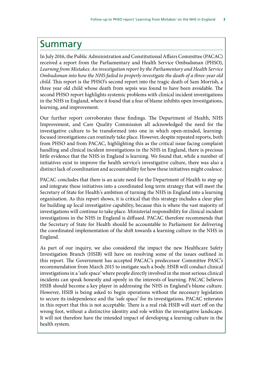## <span id="page-4-0"></span>Summary

In July 2016, the Public Administration and Constitutional Affairs Committee (PACAC) received a report from the Parliamentary and Health Service Ombudsman (PHSO), *Learning from Mistakes: An investigation report by the Parliamentary and Health Service Ombudsman into how the NHS failed to properly investigate the death of a three-year old child*. This report is the PHSO's second report into the tragic death of Sam Morrish, a three year old child whose death from sepsis was found to have been avoidable. The second PHSO report highlights systemic problems with clinical incident investigations in the NHS in England, where it found that a fear of blame inhibits open investigations, learning, and improvement.

Our further report corroborates these findings. The Department of Health, NHS Improvement, and Care Quality Commission all acknowledged the need for the investigative culture to be transformed into one in which open-minded, learningfocused investigations can routinely take place. However, despite repeated reports, both from PHSO and from PACAC, highlighting this as the critical issue facing complaint handling and clinical incident investigations in the NHS in England, there is precious little evidence that the NHS in England is learning. We found that, while a number of initiatives exist to improve the health service's investigative culture, there was also a distinct lack of coordination and accountability for how these initiatives might coalesce.

PACAC concludes that there is an acute need for the Department of Health to step up and integrate these initiatives into a coordinated long term strategy that will meet the Secretary of State for Health's ambition of turning the NHS in England into a learning organisation. As this report shows, it is critical that this strategy includes a clear plan for building up local investigative capability, because this is where the vast majority of investigations will continue to take place. Ministerial responsibility for clinical incident investigations in the NHS in England is diffused. PACAC therefore recommends that the Secretary of State for Health should be accountable to Parliament for delivering the coordinated implementation of the shift towards a learning culture in the NHS in England.

As part of our inquiry, we also considered the impact the new Healthcare Safety Investigation Branch (HSIB) will have on resolving some of the issues outlined in this report. The Government has accepted PACAC's predecessor Committee PASC's recommendation from March 2015 to instigate such a body. HSIB will conduct clinical investigations in a 'safe space' where people directly involved in the most serious clinical incidents can speak honestly and openly in the interests of learning. PACAC believes HSIB should become a key player in addressing the NHS in England's blame culture. However, HSIB is being asked to begin operations without the necessary legislation to secure its independence and the 'safe space' for its investigations. PACAC reiterates in this report that this is not acceptable. There is a real risk HSIB will start off on the wrong foot, without a distinctive identity and role within the investigative landscape. It will not therefore have the intended impact of developing a learning culture in the health system.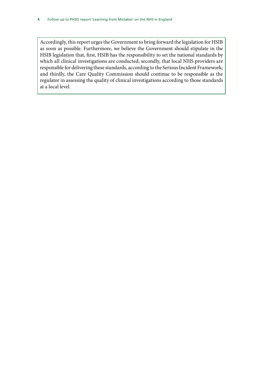Accordingly, this report urges the Government to bring forward the legislation for HSIB as soon as possible. Furthermore, we believe the Government should stipulate in the HSIB legislation that, first, HSIB has the responsibility to set the national standards by which all clinical investigations are conducted; secondly, that local NHS providers are responsible for delivering these standards, according to the Serious Incident Framework; and thirdly, the Care Quality Commission should continue to be responsible as the regulator in assessing the quality of clinical investigations according to those standards at a local level.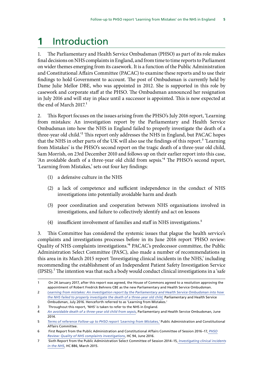## <span id="page-6-0"></span>**1** Introduction

1. The Parliamentary and Health Service Ombudsman (PHSO) as part of its role makes final decisions on NHS complaints in England, and from time to time reports to Parliament on wider themes emerging from its casework. It is a function of the Public Administration and Constitutional Affairs Committee (PACAC) to examine these reports and to use their findings to hold Government to account. The post of Ombudsman is currently held by Dame Julie Mellor DBE, who was appointed in 2012. She is supported in this role by casework and corporate staff at the PHSO. The Ombudsman announced her resignation in July 2016 and will stay in place until a successor is appointed. This is now expected at the end of March 2017.<sup>1</sup>

2. This Report focuses on the issues arising from the PHSO's July 2016 report, 'Learning from mistakes: An investigation report by the Parliamentary and Health Service Ombudsman into how the NHS in England failed to properly investigate the death of a three-year old child.'2 This report only addresses the NHS in England, but PACAC hopes that the NHS in other parts of the UK will also use the findings of this report.<sup>3</sup> 'Learning from Mistakes' is the PHSO's second report on the tragic death of a three-year old child, Sam Morrish, on 23rd December 2010 and follows up on their earlier report into this case, 'An avoidable death of a three-year old child from sepsis.'4 The PHSO's second report, 'Learning from Mistakes,' sets out four key findings:

- (1) a defensive culture in the NHS
- (2) a lack of competence and sufficient independence in the conduct of NHS investigations into potentially avoidable harm and death
- (3) poor coordination and cooperation between NHS organisations involved in investigations, and failure to collectively identify and act on lessons
- (4) insufficient involvement of families and staff in NHS investigations.<sup>5</sup>

3. This Committee has considered the systemic issues that plague the health service's complaints and investigations processes before in its June 2016 report 'PHSO review: Quality of NHS complaints investigations.'6 PACAC's predecessor committee, the Public Administration Select Committee (PASC), also made a number of recommendations in this area in its March 2015 report 'Investigating clinical incidents in the NHS,' including recommending the establishment of an Independent Patient Safety Investigation Service (IPSIS).<sup>7</sup> The intention was that such a body would conduct clinical investigations in a 'safe

3 Throughout this report, 'NHS' is taken to refer to the NHS in England.

<sup>1</sup> On 24 January 2017, after this report was agreed, the House of Commons agreed to a resolution approving the appointment of Robert Fredrick Behrens CBE as the new Parliamentary and Health Service Ombudsman.

<sup>2</sup> *[Learning from mistakes: An investigation report by the Parliamentary and Health Service Ombudsman into how](http://www.ombudsman.org.uk/__data/assets/pdf_file/0017/37034/Learning-from-mistakes-An-investigation-report-by-PHSO.pdf)  [the NHS failed to properly investigate the death of a three-year old child,](http://www.ombudsman.org.uk/__data/assets/pdf_file/0017/37034/Learning-from-mistakes-An-investigation-report-by-PHSO.pdf)* Parliamentary and Health Service Ombudsman, July 2016. Henceforth referred to as 'Learning from Mistakes.'

<sup>4</sup> *[An avoidable death of a three-year old child from sepsis](http://www.ombudsman.org.uk/__data/assets/pdf_file/0003/25896/An-avoidable-death-of-a-three-year-old.pdf)*, Parliamentary and Health Service Ombudsman, June 2014.

<sup>5</sup> *[Terms of reference Follow-up to PHSO report 'Learning from Mistakes,'](http://www.parliament.uk/business/committees/committees-a-z/commons-select/public-administration-and-constitutional-affairs-committee/news-parliament-2015/learning-from-mistakes-inquiry-launch-16-17/)* Public Administration and Constitutional Affairs Committee.

<sup>6</sup> First Report from the Public Administration and Constitutional Affairs Committee of Session 2016–17, *[PHSO](http://www.publications.parliament.uk/pa/cm201617/cmselect/cmpubadm/94/94.pdf)  [Review: Quality of NHS complaints investigations](http://www.publications.parliament.uk/pa/cm201617/cmselect/cmpubadm/94/94.pdf)*, HC 94, June 2016.

<sup>7</sup> Sixth Report from the Public Administration Select Committee of Session 2014–15, *[Investigating clinical incidents](http://www.publications.parliament.uk/pa/cm201415/cmselect/cmpubadm/886/886.pdf) [in the NHS](http://www.publications.parliament.uk/pa/cm201415/cmselect/cmpubadm/886/886.pdf)*, HC 886, March 2015.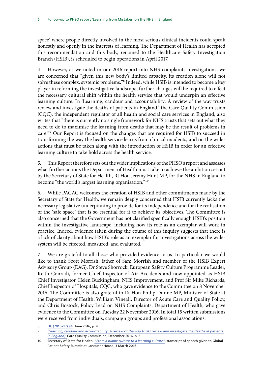space' where people directly involved in the most serious clinical incidents could speak honestly and openly in the interests of learning. The Department of Health has accepted this recommendation and this body, renamed to the Healthcare Safety Investigation Branch (HSIB), is scheduled to begin operations in April 2017.

4. However, as we noted in our 2016 report into NHS complaints investigations, we are concerned that "given this new body's limited capacity, its creation alone will not solve these complex, systemic problems."8 Indeed, while HSIB is intended to become a key player in reforming the investigative landscape, further changes will be required to effect the necessary cultural shift within the health service that would underpin an effective learning culture. In 'Learning, candour and accountability: A review of the way trusts review and investigate the deaths of patients in England,' the Care Quality Commission (CQC), the independent regulator of all health and social care services in England, also writes that "there is currently no single framework for NHS trusts that sets out what they need to do to maximise the learning from deaths that may be the result of problems in care."9 Our Report is focused on the changes that are required for HSIB to succeed in transforming the way the health service learns from clinical incidents, and on the wider actions that must be taken along with the introduction of HSIB in order for an effective learning culture to take hold across the health service.

5. This Report therefore sets out the wider implications of the PHSO's report and assesses what further actions the Department of Health must take to achieve the ambition set out by the Secretary of State for Health, Rt Hon Jeremy Hunt MP, for the NHS in England to become "the world's largest learning organisation."10

6. While PACAC welcomes the creation of HSIB and other commitments made by the Secretary of State for Health, we remain deeply concerned that HSIB currently lacks the necessary legislative underpinning to provide for its independence and for the realisation of the 'safe space' that is so essential for it to achieve its objectives. The Committee is also concerned that the Government has not clarified specifically enough HSIB's position within the investigative landscape, including how its role as an exemplar will work in practice. Indeed, evidence taken during the course of this inquiry suggests that there is a lack of clarity about how HSIB's role as an exemplar for investigations across the wider system will be effected, measured, and evaluated.

7. We are grateful to all those who provided evidence to us. In particular we would like to thank Scott Morrish, father of Sam Morrish and member of the HSIB Expert Advisory Group (EAG), Dr Steve Shorrock, European Safety Culture Programme Leader, Keith Conradi, former Chief Inspector of Air Accidents and now appointed as HSIB Chief Investigator, Helen Buckingham, NHS Improvement, and Prof Sir Mike Richards, Chief Inspector of Hospitals, CQC, who gave evidence to the Committee on 8 November 2016. The Committee is also grateful to Rt Hon Philip Dunne MP, Minister of State at the Department of Health, William Vineall, Director of Acute Care and Quality Policy, and Chris Bostock, Policy Lead on NHS Complaints, Department of Health, who gave evidence to the Committee on Tuesday 22 November 2016. In total 15 written submissions were received from individuals, campaign groups and professional associations.

<sup>8</sup> [HC \(2016–17\) 94,](http://www.publications.parliament.uk/pa/cm201617/cmselect/cmpubadm/94/94.pdf) June 2016, p. 4.

<sup>9</sup> *['Learning, candour and accountability: A review of the way trusts review and investigate the deaths of patients](http://www.cqc.org.uk/sites/default/files/20161213-learning-candour-accountability-full-report.pdf)  [in England,'](http://www.cqc.org.uk/sites/default/files/20161213-learning-candour-accountability-full-report.pdf)* Care Quality Commission, December 2016, p. 6.

<sup>10</sup> Secretary of State for Health, *["From a blame culture to a learning culture"](https://www.gov.uk/government/speeches/from-a-blame-culture-to-a-learning-culture)*, transcript of speech given to Global Patient Safety Summit at Lancaster House, 3 March 2016.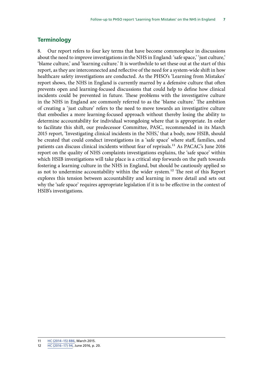#### <span id="page-8-0"></span>**Terminology**

8. Our report refers to four key terms that have become commonplace in discussions about the need to improve investigations in the NHS in England: 'safe space,' 'just culture,' 'blame culture,' and 'learning culture.' It is worthwhile to set these out at the start of this report, as they are interconnected and reflective of the need for a system-wide shift in how healthcare safety investigations are conducted. As the PHSO's 'Learning from Mistakes' report shows, the NHS in England is currently marred by a defensive culture that often prevents open and learning-focused discussions that could help to define how clinical incidents could be prevented in future. These problems with the investigative culture in the NHS in England are commonly referred to as the 'blame culture.' The ambition of creating a 'just culture' refers to the need to move towards an investigative culture that embodies a more learning-focused approach without thereby losing the ability to determine accountability for individual wrongdoing where that is appropriate. In order to facilitate this shift, our predecessor Committee, PASC, recommended in its March 2015 report, 'Investigating clinical incidents in the NHS,' that a body, now HSIB, should be created that could conduct investigations in a 'safe space' where staff, families, and patients can discuss clinical incidents without fear of reprisals.<sup>11</sup> As PACAC's June 2016 report on the quality of NHS complaints investigations explains, the 'safe space' within which HSIB investigations will take place is a critical step forwards on the path towards fostering a learning culture in the NHS in England, but should be cautiously applied so as not to undermine accountability within the wider system.<sup>12</sup> The rest of this Report explores this tension between accountability and learning in more detail and sets out why the 'safe space' requires appropriate legislation if it is to be effective in the context of HSIB's investigations.

<sup>11</sup> [HC \(2014–15\) 886](http://www.publications.parliament.uk/pa/cm201415/cmselect/cmpubadm/886/886.pdfhttp:/www.publications.parliament.uk/pa/cm201415/cmselect/cmpubadm/886/886.pdfhttp:/www.publications.parliament.uk/pa/cm201415/cmselect/cmpubadm/886/886.pdf), March 2015.

<sup>12</sup> [HC \(2016–17\) 94,](http://www.publications.parliament.uk/pa/cm201617/cmselect/cmpubadm/94/94.pdf) June 2016, p. 20.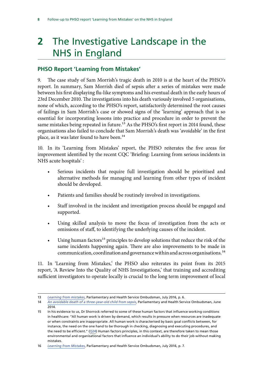## <span id="page-9-0"></span>**2** The Investigative Landscape in the NHS in England

### **PHSO Report 'Learning from Mistakes'**

9. The case study of Sam Morrish's tragic death in 2010 is at the heart of the PHSO's report. In summary, Sam Morrish died of sepsis after a series of mistakes were made between his first displaying flu-like symptoms and his eventual death in the early hours of 23rd December 2010. The investigations into his death variously involved 5 organisations, none of which, according to the PHSO's report, satisfactorily determined the root causes of failings in Sam Morrish's case or showed signs of the 'learning' approach that is so essential for incorporating lessons into practice and procedure in order to prevent the same mistakes being repeated in future.<sup>13</sup> As the PHSO's first report in 2014 found, these organisations also failed to conclude that Sam Morrish's death was 'avoidable' in the first place, as it was later found to have been.<sup>14</sup>

10. In its 'Learning from Mistakes' report, the PHSO reiterates the five areas for improvement identified by the recent CQC 'Briefing: Learning from serious incidents in NHS acute hospitals' :

- Serious incidents that require full investigation should be prioritised and alternative methods for managing and learning from other types of incident should be developed.
- Patients and families should be routinely involved in investigations.
- Staff involved in the incident and investigation process should be engaged and supported.
- Using skilled analysis to move the focus of investigation from the acts or omissions of staff, to identifying the underlying causes of the incident.
- Using human factors<sup>15</sup> principles to develop solutions that reduce the risk of the same incidents happening again. There are also improvements to be made in communication, coordination and governance within and across organisations.16

11. In 'Learning from Mistakes,' the PHSO also reiterates its point from its 2015 report, 'A Review Into the Quality of NHS Investigations,' that training and accrediting sufficient investigators to operate locally is crucial to the long term improvement of local

<sup>13</sup> *[Learning from mistakes](http://www.ombudsman.org.uk/__data/assets/pdf_file/0017/37034/Learning-from-mistakes-An-investigation-report-by-PHSO.pdf)*, Parliamentary and Health Service Ombudsman, July 2016, p. 6.

<sup>14</sup> *[An avoidable death of a three-year-old child from sepsis](http://www.ombudsman.org.uk/__data/assets/pdf_file/0003/25896/An-avoidable-death-of-a-three-year-old.pdf)*, Parliamentary and Health Service Ombudsman, June 2014.

<sup>15</sup> In his evidence to us, Dr Shorrock referred to some of these human factors that influence working conditions in healthcare: "All human work is driven by demand, which results in pressure when resources are inadequate or when constraints are inappropriate. All human work is characterised by basic goal conflicts between, for instance, the need on the one hand to be thorough in checking, diagnosing and executing procedures, and the need to be efficient." [\(Q24](http://data.parliament.uk/writtenevidence/committeeevidence.svc/evidencedocument/public-administration-and-constitutional-affairs-committee/phso-learning-from-mistakes/oral/42976.html)) Human factors principles, in this context, are therefore taken to mean those environmental and organisational factors that influence an individual's ability to do their job without making mistakes.

<sup>16</sup> *[Learning from Mistakes](http://www.ombudsman.org.uk/__data/assets/pdf_file/0017/37034/Learning-from-mistakes-An-investigation-report-by-PHSO.pdf)*, Parliamentary and Health Service Ombudsman, July 2016, p. 7.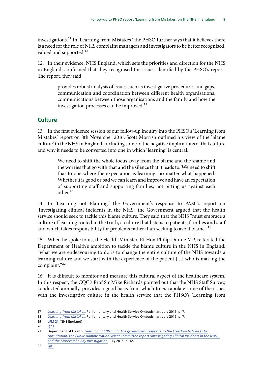<span id="page-10-0"></span>investigations.17 In 'Learning from Mistakes,' the PHSO further says that it believes there is a need for the role of NHS complaint managers and investigators to be better recognised, valued and supported.<sup>18</sup>

12. In their evidence, NHS England, which sets the priorities and direction for the NHS in England, confirmed that they recognised the issues identified by the PHSO's report. The report, they said

> provides robust analysis of issues such as investigative procedures and gaps, communication and coordination between different health organisations, communications between those organisations and the family and how the investigation processes can be improved.<sup>19</sup>

#### **Culture**

13. In the first evidence session of our follow-up inquiry into the PHSO's 'Learning from Mistakes' report on 8th November 2016, Scott Morrish outlined his view of the 'blame culture' in the NHS in England, including some of the negative implications of that culture and why it needs to be converted into one in which 'learning' is central:

> We need to shift the whole focus away from the blame and the shame and the worries that go with that and the silence that it leads to. We need to shift that to one where the expectation is learning, no matter what happened. Whether it is good or bad we can learn and improve and have an expectation of supporting staff and supporting families, not pitting us against each other.20

14. In 'Learning not Blaming,' the Government's response to PASC's report on 'Investigating clinical incidents in the NHS,' the Government argued that the health service should seek to tackle this blame culture. They said that the NHS "must embrace a culture of learning rooted in the truth, a culture that listens to patients, families and staff and which takes responsibility for problems rather than seeking to avoid blame."<sup>21</sup>

15. When he spoke to us, the Health Minister, Rt Hon Philip Dunne MP, reiterated the Department of Health's ambition to tackle the blame culture in the NHS in England: "what we are endeavouring to do is to change the entire culture of the NHS towards a learning culture and we start with the experience of the patient […] who is making the complaint."22

16. It is difficult to monitor and measure this cultural aspect of the healthcare system. In this respect, the CQC's Prof Sir Mike Richards pointed out that the NHS Staff Survey, conducted annually, provides a good basis from which to extrapolate some of the issues with the investigative culture in the health service that the PHSO's 'Learning from

<sup>17</sup> *[Learning from Mistakes](http://www.ombudsman.org.uk/__data/assets/pdf_file/0017/37034/Learning-from-mistakes-An-investigation-report-by-PHSO.pdf)*, Parliamentary and Health Service Ombudsman, July 2016, p. 7.

<sup>18</sup> *[Learning from Mistakes](http://www.ombudsman.org.uk/__data/assets/pdf_file/0017/37034/Learning-from-mistakes-An-investigation-report-by-PHSO.pdf)*, Parliamentary and Health Service Ombudsman, July 2016, p. 7.

<sup>19</sup> [LFM 21](http://data.parliament.uk/writtenevidence/committeeevidence.svc/evidencedocument/public-administration-and-constitutional-affairs-committee/phso-learning-from-mistakes/written/43810.html) (NHS England)

<sup>20</sup> [Q23](http://data.parliament.uk/writtenevidence/committeeevidence.svc/evidencedocument/public-administration-and-constitutional-affairs-committee/phso-learning-from-mistakes/oral/42976.html) 

<sup>21</sup> Department of Health, *[Learning not Blaming: The government response to the Freedom to Speak Up](https://www.gov.uk/government/uploads/system/uploads/attachment_data/file/445640/Learning_not_blaming_acc.pdf)  [consultation, the Public Administration Select Committee report 'Investigating Clinical Incidents in the NHS',](https://www.gov.uk/government/uploads/system/uploads/attachment_data/file/445640/Learning_not_blaming_acc.pdf)  [and the Morecambe Bay Investigation](https://www.gov.uk/government/uploads/system/uploads/attachment_data/file/445640/Learning_not_blaming_acc.pdf)*, July 2015, p. 12.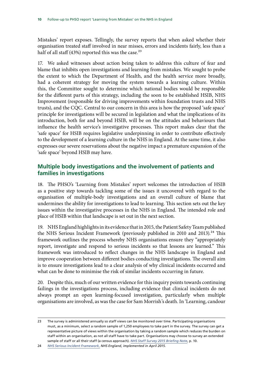<span id="page-11-0"></span>Mistakes' report exposes. Tellingly, the survey reports that when asked whether their organisation treated staff involved in near misses, errors and incidents fairly, less than a half of all staff (43%) reported this was the case.<sup>23</sup>

17. We asked witnesses about action being taken to address this culture of fear and blame that inhibits open investigations and learning from mistakes. We sought to probe the extent to which the Department of Health, and the health service more broadly, had a coherent strategy for moving the system towards a learning culture. Within this, the Committee sought to determine which national bodies would be responsible for the different parts of this strategy, including the soon to be established HSIB, NHS Improvement (responsible for driving improvements within foundation trusts and NHS trusts), and the CQC. Central to our concern in this area is how the proposed 'safe space' principle for investigations will be secured in legislation and what the implications of its introduction, both for and beyond HSIB, will be on the attitudes and behaviours that influence the health service's investigative processes. This report makes clear that the 'safe space' for HSIB requires legislative underpinning in order to contribute effectively to the development of a learning culture in the NHS in England. At the same time, it also expresses our severe reservations about the negative impact a premature expansion of the 'safe space' beyond HSIB may have.

### **Multiple body investigations and the involvement of patients and families in investigations**

18. The PHSO's 'Learning from Mistakes' report welcomes the introduction of HSIB as a positive step towards tackling some of the issues it uncovered with regard to the organisation of multiple-body investigations and an overall culture of blame that undermines the ability for investigations to lead to learning. This section sets out the key issues within the investigative processes in the NHS in England. The intended role and place of HSIB within that landscape is set out in the next section.

19. NHS England highlights in its evidence that in 2015, the Patient Safety Team published the NHS Serious Incident Framework (previously published in 2010 and 2013).<sup>24</sup> This framework outlines the process whereby NHS organisations ensure they "appropriately report, investigate and respond to serious incidents so that lessons are learned." This framework was introduced to reflect changes in the NHS landscape in England and improve cooperation between different bodies conducting investigations. The overall aim is to ensure investigations lead to a clear analysis of why clinical incidents occurred and what can be done to minimise the risk of similar incidents occurring in future.

20. Despite this, much of our written evidence for this inquiry points towards continuing failings in the investigations process, including evidence that clinical incidents do not always prompt an open learning-focused investigation, particularly when multiple organisations are involved, as was the case for Sam Morrish's death. In 'Learning, candour

<sup>23</sup> The survey is administered annually so staff views can be monitored over time. Participating organisations must, as a minimum, select a random sample of 1,250 employees to take part in the survey. The survey can get a representative picture of views within the organisation by taking a random sample which reduces the burden on staff within an organisation, as not all staff have to take part. Organisations may choose to survey an extended sample of staff or all their staff (a census approach). *[NHS Staff Survey 2015 Briefing Note](http://www.nhsstaffsurveys.com/Caches/Files/20160322_NHS%20Staff%20Survey%202015%20National%20Briefing_V2.pdf)*, p. 10.

<sup>24</sup> *[NHS Serious Incident Framework](https://www.england.nhs.uk/patientsafety/wp-content/uploads/sites/32/2015/04/serious-incidnt-framwrk-upd2.pdf)*, *NHS England, implemented in April 2015.*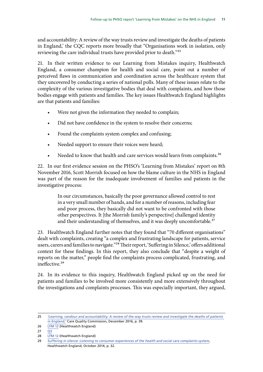and accountability: A review of the way trusts review and investigate the deaths of patients in England,' the CQC reports more broadly that "Organisations work in isolation, only reviewing the care individual trusts have provided prior to death."25

21. In their written evidence to our Learning from Mistakes inquiry, Healthwatch England, a consumer champion for health and social care, point out a number of perceived flaws in communication and coordination across the healthcare system that they uncovered by conducting a series of national polls. Many of these issues relate to the complexity of the various investigative bodies that deal with complaints, and how those bodies engage with patients and families. The key issues Healthwatch England highlights are that patients and families:

- Were not given the information they needed to complain;
- Did not have confidence in the system to resolve their concerns;
- Found the complaints system complex and confusing;
- Needed support to ensure their voices were heard;
- Needed to know that health and care services would learn from complaints.<sup>26</sup>

22. In our first evidence session on the PHSO's 'Learning from Mistakes' report on 8th November 2016, Scott Morrish focused on how the blame culture in the NHS in England was part of the reason for the inadequate involvement of families and patients in the investigative process:

> In our circumstances, basically the poor governance allowed control to rest in a very small number of hands, and for a number of reasons, including fear and poor process, they basically did not want to be confronted with those other perspectives. It [the Morrish family's perspective] challenged identity and their understanding of themselves, and it was deeply uncomfortable.<sup>27</sup>

23. Healthwatch England further notes that they found that "70 different organisations" dealt with complaints, creating "a complex and frustrating landscape for patients, service users, carers and families to navigate."28 Their report, 'Suffering in Silence,' offers additional context for these findings. In this report, they also conclude that "despite a weight of reports on the matter," people find the complaints process complicated, frustrating, and ineffective.<sup>29</sup>

24. In its evidence to this inquiry, Healthwatch England picked up on the need for patients and families to be involved more consistently and more extensively throughout the investigations and complaints processes. This was especially important, they argued,

- $27 \overline{03}$
- 28 [LFM 12](http://data.parliament.uk/writtenevidence/committeeevidence.svc/evidencedocument/public-administration-and-constitutional-affairs-committee/phso-learning-from-mistakes/written/42765.html) (Healthwatch England)

<sup>25</sup> *['Learning, candour and accountability: A review of the way trusts review and investigate the deaths of patients](http://www.cqc.org.uk/sites/default/files/20161213-learning-candour-accountability-full-report.pdf)  [in England,'](http://www.cqc.org.uk/sites/default/files/20161213-learning-candour-accountability-full-report.pdf)* Care Quality Commission, December 2016, p. 39.

<sup>26</sup> [LFM 12](http://data.parliament.uk/writtenevidence/committeeevidence.svc/evidencedocument/public-administration-and-constitutional-affairs-committee/phso-learning-from-mistakes/written/42765.html) (Healthwatch England)

<sup>29</sup> *[Suffering in silence: Listening to consumer experiences of the health and social care complaints system](http://www.healthwatch.co.uk/sites/healthwatch.co.uk/files/hwe-complaints-report.pdf)*, Healthwatch England, October 2014, p. 32.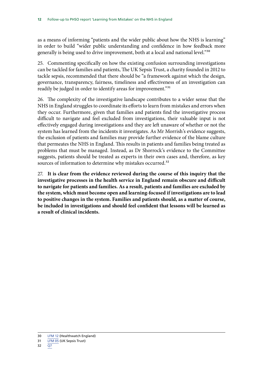as a means of informing "patients and the wider public about how the NHS is learning" in order to build "wider public understanding and confidence in how feedback more generally is being used to drive improvement, both at a local and national level."30

25. Commenting specifically on how the existing confusion surrounding investigations can be tackled for families and patients, The UK Sepsis Trust, a charity founded in 2012 to tackle sepsis, recommended that there should be "a framework against which the design, governance, transparency, fairness, timeliness and effectiveness of an investigation can readily be judged in order to identify areas for improvement."<sup>31</sup>

26. The complexity of the investigative landscape contributes to a wider sense that the NHS in England struggles to coordinate its efforts to learn from mistakes and errors when they occur. Furthermore, given that families and patients find the investigative process difficult to navigate and feel excluded from investigations, their valuable input is not effectively engaged during investigations and they are left unaware of whether or not the system has learned from the incidents it investigates. As Mr Morrish's evidence suggests, the exclusion of patients and families may provide further evidence of the blame culture that permeates the NHS in England. This results in patients and families being treated as problems that must be managed. Instead, as Dr Shorrock's evidence to the Committee suggests, patients should be treated as experts in their own cases and, therefore, as key sources of information to determine why mistakes occurred.<sup>32</sup>

27. **It is clear from the evidence reviewed during the course of this inquiry that the investigative processes in the health service in England remain obscure and difficult to navigate for patients and families. As a result, patients and families are excluded by the system, which must become open and learning-focused if investigations are to lead to positive changes in the system. Families and patients should, as a matter of course, be included in investigations and should feel confident that lessons will be learned as a result of clinical incidents.** 

<sup>30</sup> [LFM 12](http://data.parliament.uk/writtenevidence/committeeevidence.svc/evidencedocument/public-administration-and-constitutional-affairs-committee/phso-learning-from-mistakes/written/42765.html) (Healthwatch England)

<sup>31</sup> [LFM 05](http://data.parliament.uk/writtenevidence/committeeevidence.svc/evidencedocument/public-administration-and-constitutional-affairs-committee/phso-learning-from-mistakes/written/42589.html) (UK Sepsis Trust)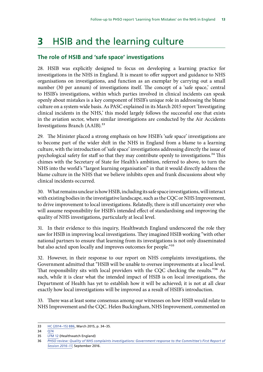## <span id="page-14-0"></span>**3** HSIB and the learning culture

### **The role of HSIB and 'safe space' investigations**

28. HSIB was explicitly designed to focus on developing a learning practice for investigations in the NHS in England. It is meant to offer support and guidance to NHS organisations on investigations, and function as an exemplar by carrying out a small number (30 per annum) of investigations itself. The concept of a 'safe space,' central to HSIB's investigations, within which parties involved in clinical incidents can speak openly about mistakes is a key component of HSIB's unique role in addressing the blame culture on a system-wide basis. As PASC explained in its March 2015 report 'Investigating clinical incidents in the NHS,' this model largely follows the successful one that exists in the aviation sector, where similar investigations are conducted by the Air Accidents Investigations Branch (AAIB).<sup>33</sup>

29. The Minister placed a strong emphasis on how HSIB's 'safe space' investigations are to become part of the wider shift in the NHS in England from a blame to a learning culture, with the introduction of 'safe space' investigations addressing directly the issue of psychological safety for staff so that they may contribute openly to investigations.<sup>34</sup> This chimes with the Secretary of State for Health's ambition, referred to above, to turn the NHS into the world's "largest learning organisation" in that it would directly address the blame culture in the NHS that we believe inhibits open and frank discussions about why clinical incidents occurred.

30. What remains unclear is how HSIB, including its safe space investigations, will interact with existing bodies in the investigative landscape, such as the CQC or NHS Improvement, to drive improvement to local investigations. Relatedly, there is still uncertainty over who will assume responsibility for HSIB's intended effect of standardising and improving the quality of NHS investigations, particularly at local level.

31. In their evidence to this inquiry, Healthwatch England underscored the role they saw for HSIB in improving local investigations. They imagined HSIB working "with other national partners to ensure that learning from its investigations is not only disseminated but also acted upon locally and improves outcomes for people."<sup>35</sup>

32. However, in their response to our report on NHS complaints investigations, the Government admitted that "HSIB will be unable to oversee improvements at a local level. That responsibility sits with local providers with the CQC checking the results."<sup>36</sup> As such, while it is clear what the intended impact of HSIB is on local investigations, the Department of Health has yet to establish how it will be achieved; it is not at all clear exactly how local investigations will be improved as a result of HSIB's introduction.

33. There was at least some consensus among our witnesses on how HSIB would relate to NHS Improvement and the CQC. Helen Buckingham, NHS Improvement, commented on

35 [LFM 12](http://data.parliament.uk/writtenevidence/committeeevidence.svc/evidencedocument/public-administration-and-constitutional-affairs-committee/phso-learning-from-mistakes/written/42765.html) (Healthwatch England)

<sup>33</sup> [HC \(2014–15\) 886](http://www.publications.parliament.uk/pa/cm201415/cmselect/cmpubadm/886/886.pdfhttp:/www.publications.parliament.uk/pa/cm201415/cmselect/cmpubadm/886/886.pdfhttp:/www.publications.parliament.uk/pa/cm201415/cmselect/cmpubadm/886/886.pdf), March 2015, p. 34–35.

 $34 \overline{074}$ 

<sup>36</sup> *[PHSO review: Quality of NHS complaints investigations: Government response to the Committee's First Report of](http://www.publications.parliament.uk/pa/cm201617/cmselect/cmpubadm/742/74202.htm)  [Session 2016–17](http://www.publications.parliament.uk/pa/cm201617/cmselect/cmpubadm/742/74202.htm)*, September 2016.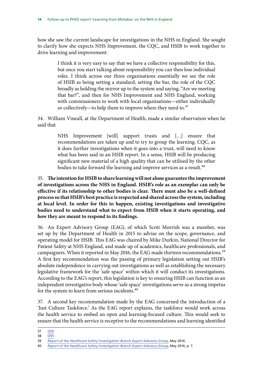how she saw the current landscape for investigations in the NHS in England. She sought to clarify how she expects NHS Improvement, the CQC, and HSIB to work together to drive learning and improvement:

> I think it is very easy to say that we have a collective responsibility for this, but once you start talking about responsibility you can then lose individual roles. I think across our three organisations essentially we see the role of HSIB as being setting a standard, setting the bar, the role of the CQC broadly as holding the mirror up to the system and saying, "Are we meeting that bar?", and then for NHS Improvement and NHS England, working with commissioners to work with local organisations—either individually or collectively—to help them to improve where they need to.<sup>37</sup>

34. William Vineall, at the Department of Health, made a similar observation when he said that

> NHS Improvement [will] support trusts and […] ensure that recommendations are taken up and to try to group the learning. CQC, as it does further investigations when it goes into a trust, will need to know what has been said in an HSIB report. In a sense, HSIB will be producing significant new material of a high quality that can be utilised by the other bodies to take forward the learning and improve services as a result.<sup>38</sup>

35. **The intention for HSIB to share learning will not alone guarantee the improvement of investigations across the NHS in England. HSIB's role as an exemplar can only be effective if its relationship to other bodies is clear. There must also be a well-defined process so that HSIB's best practice is respected and shared across the system, including at local level. In order for this to happen, existing investigations and investigative bodies need to understand what to expect from HSIB when it starts operating, and how they are meant to respond to its findings.** 

36. An Expert Advisory Group (EAG), of which Scott Morrish was a member, was set up by the Department of Health in 2015 to advise on the scope, governance, and operating model for HSIB. This EAG was chaired by Mike Durkin, National Director for Patient Safety at NHS England, and made up of academics, healthcare professionals, and campaigners. When it reported in May 2016, the EAG made thirteen recommendations.<sup>39</sup> A first key recommendation was the passing of primary legislation setting out HSIB's absolute independence in carrying out investigations as well as establishing the necessary legislative framework for the 'safe space' within which it will conduct its investigations. According to the EAG's report, this legislation is key to ensuring HSIB can function as an independent investigative body whose 'safe space' investigations serve as a strong impetus for the system to learn from serious incidents.<sup>40</sup>

37. A second key recommendation made by the EAG concerned the introduction of a 'Just Culture Taskforce.' As the EAG report explains, the taskforce would work across the health service to embed an open and learning-focused culture. This would seek to ensure that the health service is receptive to the recommendations and learning identified

<sup>37</sup> [Q36](http://data.parliament.uk/writtenevidence/committeeevidence.svc/evidencedocument/public-administration-and-constitutional-affairs-committee/phso-learning-from-mistakes/oral/42976.html) 

<sup>38</sup> [Q93](http://data.parliament.uk/writtenevidence/committeeevidence.svc/evidencedocument/public-administration-and-constitutional-affairs-committee/phso-learning-from-mistakes/oral/43593.html)

<sup>39</sup> *[Report of the Healthcare Safety Investigation Branch Expert Advisory Group](https://www.gov.uk/government/uploads/system/uploads/attachment_data/file/522785/hsibreport.pdf)*, May 2016.

<sup>40</sup> *[Report of the Healthcare Safety Investigation Branch Expert Advisory Group](https://www.gov.uk/government/uploads/system/uploads/attachment_data/file/522785/hsibreport.pdf)*, May 2016, p. 7.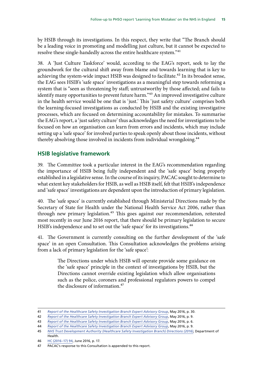<span id="page-16-0"></span>by HSIB through its investigations. In this respect, they write that "The Branch should be a leading voice in promoting and modelling just culture, but it cannot be expected to resolve these single-handedly across the entire healthcare system."<sup>41</sup>

38. A 'Just Culture Taskforce' would, according to the EAG's report, seek to lay the groundwork for the cultural shift away from blame and towards learning that is key to achieving the system-wide impact HSIB was designed to facilitate.<sup>42</sup> In its broadest sense, the EAG sees HSIB's 'safe space' investigations as a meaningful step towards reforming a system that is "seen as threatening by staff; untrustworthy by those affected; and fails to identify many opportunities to prevent future harm."<sup>43</sup> An improved investigative culture in the health service would be one that is 'just.' This 'just safety culture' comprises both the learning-focused investigations as conducted by HSIB and the existing investigative processes, which are focused on determining accountability for mistakes. To summarise the EAG's report, a 'just safety culture' thus acknowledges the need for investigations to be focused on how an organisation can learn from errors and incidents, which may include setting up a 'safe space' for involved parties to speak openly about those incidents, without thereby absolving those involved in incidents from individual wrongdoing.<sup>44</sup>

### **HSIB legislative framework**

39. The Committee took a particular interest in the EAG's recommendation regarding the importance of HSIB being fully independent and the 'safe space' being properly established in a legislative sense. In the course of its inquiry, PACAC sought to determine to what extent key stakeholders for HSIB, as well as HSIB itself, felt that HSIB's independence and 'safe space' investigations are dependent upon the introduction of primary legislation.

40. The 'safe space' is currently established through Ministerial Directions made by the Secretary of State for Health under the National Health Service Act 2006, rather than through new primary legislation.<sup>45</sup> This goes against our recommendation, reiterated most recently in our June 2016 report, that there should be primary legislation to secure HSIB's independence and to set out the 'safe space' for its investigations.<sup>46</sup>

41. The Government is currently consulting on the further development of the 'safe space' in an open Consultation. This Consultation acknowledges the problems arising from a lack of primary legislation for the 'safe space':

> The Directions under which HSIB will operate provide some guidance on the 'safe space' principle in the context of investigations by HSIB, but the Directions cannot override existing legislation which allow organisations such as the police, coroners and professional regulators powers to compel the disclosure of information.<sup>47</sup>

<sup>41</sup> *[Report of the Healthcare Safety Investigation Branch Expert Advisory Group](https://www.gov.uk/government/uploads/system/uploads/attachment_data/file/522785/hsibreport.pdf)*, May 2016, p. 30.

<sup>42</sup> *[Report of the Healthcare Safety Investigation Branch Expert Advisory Group](https://www.gov.uk/government/uploads/system/uploads/attachment_data/file/522785/hsibreport.pdf)*, May 2016, p. 9.

<sup>43</sup> *[Report of the Healthcare Safety Investigation Branch Expert Advisory Group](https://www.gov.uk/government/uploads/system/uploads/attachment_data/file/522785/hsibreport.pdf)*, May 2016, p. 6.

<sup>44</sup> *[Report of the Healthcare Safety Investigation Branch Expert Advisory Group](https://www.gov.uk/government/uploads/system/uploads/attachment_data/file/522785/hsibreport.pdf)*, May 2016, p. 9.

<sup>45</sup> *[NHS Trust Development Authority \(Healthcare Safety Investigation Branch\) Directions \(2016\)](https://www.gov.uk/government/uploads/system/uploads/attachment_data/file/514217/HSIB_directions.pdf)*, Department of Health.

<sup>46</sup> [HC \(2016–17\) 94,](http://www.publications.parliament.uk/pa/cm201617/cmselect/cmpubadm/94/94.pdf) June 2016, p. 17.

<sup>47</sup> PACAC's response to this Consultation is appended to this report.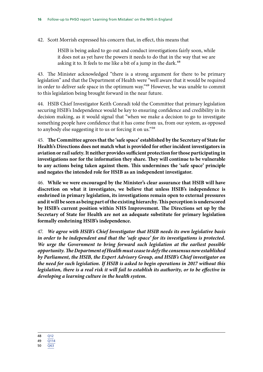42. Scott Morrish expressed his concern that, in effect, this means that

HSIB is being asked to go out and conduct investigations fairly soon, while it does not as yet have the powers it needs to do that in the way that we are asking it to. It feels to me like a bit of a jump in the dark.<sup>48</sup>

43. The Minister acknowledged "there is a strong argument for there to be primary legislation" and that the Department of Health were "well aware that it would be required in order to deliver safe space in the optimum way."49 However, he was unable to commit to this legislation being brought forward in the near future.

44. HSIB Chief Investigator Keith Conradi told the Committee that primary legislation securing HSIB's Independence would be key to ensuring confidence and credibility in its decision making, as it would signal that "when we make a decision to go to investigate something people have confidence that it has come from us, from our system, as opposed to anybody else suggesting it to us or forcing it on us."50

45. **The Committee agrees that the 'safe space' established by the Secretary of State for Health's Directions does not match what is provided for other incident investigators in aviation or rail safety. It neither provides sufficient protection for those participating in investigations nor for the information they share. They will continue to be vulnerable to any actions being taken against them. This undermines the 'safe space' principle and negates the intended role for HSIB as an independent investigator.** 

46. **While we were encouraged by the Minister's clear assurance that HSIB will have discretion on what it investigates, we believe that unless HSIB's independence is enshrined in primary legislation, its investigations remain open to external pressures and it will be seen as being part of the existing hierarchy. This perception is underscored by HSIB's current position within NHS Improvement. The Directions set up by the Secretary of State for Health are not an adequate substitute for primary legislation formally enshrining HSIB's independence.** 

47. *We agree with HSIB's Chief Investigator that HSIB needs its own legislative basis in order to be independent and that the 'safe space' for its investigations is protected. We urge the Government to bring forward such legislation at the earliest possible opportunity. The Department of Health must cease to defy the consensus now established by Parliament, the HSIB, the Expert Advisory Group, and HSIB's Chief investigator on the need for such legislation. If HSIB is asked to begin operations in 2017 without this*  legislation, there is a real risk it will fail to establish its authority, or to be effective in *developing a learning culture in the health system.* 

<sup>48</sup> [Q12](http://data.parliament.uk/writtenevidence/committeeevidence.svc/evidencedocument/public-administration-and-constitutional-affairs-committee/phso-learning-from-mistakes/oral/42976.html)

<sup>49</sup> [Q114](http://data.parliament.uk/writtenevidence/committeeevidence.svc/evidencedocument/public-administration-and-constitutional-affairs-committee/phso-learning-from-mistakes/oral/43593.html) 

<sup>50</sup> [Q63](http://data.parliament.uk/writtenevidence/committeeevidence.svc/evidencedocument/public-administration-and-constitutional-affairs-committee/phso-learning-from-mistakes/oral/42976.html)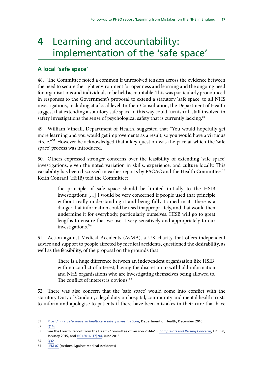## <span id="page-18-0"></span>**4** Learning and accountability: implementation of the 'safe space'

### **A local 'safe space'**

48. The Committee noted a common if unresolved tension across the evidence between the need to secure the right environment for openness and learning and the ongoing need for organisations and individuals to be held accountable. This was particularly pronounced in responses to the Government's proposal to extend a statutory 'safe space' to all NHS investigations, including at a local level. In their Consultation, the Department of Health suggest that extending a statutory safe space in this way could furnish all staff involved in safety investigations the sense of psychological safety that is currently lacking.<sup>51</sup>

49. William Vineall, Department of Health, suggested that "You would hopefully get more learning and you would get improvements as a result, so you would have a virtuous circle."52 However he acknowledged that a key question was the pace at which the 'safe space' process was introduced.

50. Others expressed stronger concerns over the feasibility of extending 'safe space' investigations, given the noted variation in skills, experience, and culture locally. This variability has been discussed in earlier reports by PACAC and the Health Committee.<sup>53</sup> Keith Conradi (HSIB) told the Committee:

> the principle of safe space should be limited initially to the HSIB investigations […] I would be very concerned if people used that principle without really understanding it and being fully trained in it. There is a danger that information could be used inappropriately, and that would then undermine it for everybody, particularly ourselves. HISB will go to great lengths to ensure that we use it very sensitively and appropriately to our investigations.<sup>54</sup>

51. Action against Medical Accidents (AvMA), a UK charity that offers independent advice and support to people affected by medical accidents, questioned the desirability, as well as the feasibility, of the proposal on the grounds that

> There is a huge difference between an independent organisation like HSIB, with no conflict of interest, having the discretion to withhold information and NHS organisations who are investigating themselves being allowed to. The conflict of interest is obvious.<sup>55</sup>

52. There was also concern that the 'safe space' would come into conflict with the statutory Duty of Candour, a legal duty on hospital, community and mental health trusts to inform and apologise to patients if there have been mistakes in their care that have

54 [Q32](http://data.parliament.uk/writtenevidence/committeeevidence.svc/evidencedocument/public-administration-and-constitutional-affairs-committee/phso-learning-from-mistakes/oral/42976.html) 

<sup>51</sup> *[Providing a 'safe space' in healthcare safety investigations](https://www.gov.uk/government/uploads/system/uploads/attachment_data/file/560522/Safe_spaces_cons.pdf)*, Department of Health, December 2016.

<sup>52</sup> [Q116](http://data.parliament.uk/writtenevidence/committeeevidence.svc/evidencedocument/public-administration-and-constitutional-affairs-committee/phso-learning-from-mistakes/oral/43593.html) 

<sup>53</sup> See the Fourth Report from the Health Committee of Session 2014–15, *[Complaints and Raising Concerns](http://www.publications.parliament.uk/pa/cm201415/cmselect/cmhealth/350/35002.htm)*, HC 350, January 2015, and [HC \(2016–17\) 94](http://www.publications.parliament.uk/pa/cm201617/cmselect/cmpubadm/94/94.pdf), June 2016.

<sup>55</sup> [LFM 07](http://data.parliament.uk/writtenevidence/committeeevidence.svc/evidencedocument/public-administration-and-constitutional-affairs-committee/phso-learning-from-mistakes/written/42655.html) (Actions Against Medical Accidents)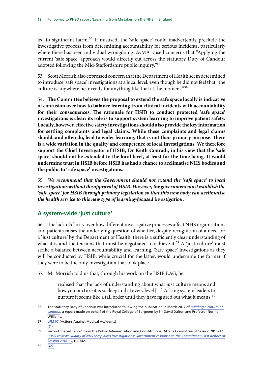<span id="page-19-0"></span>led to significant harm.<sup>56</sup> If misused, the 'safe space' could inadvertently preclude the investigative process from determining accountability for serious incidents, particularly where there has been individual wrongdoing. AvMA raised concerns that "Applying the current 'safe space' approach would directly cut across the statutory Duty of Candour adopted following the Mid-Staffordshire public inquiry."<sup>57</sup>

53. Scott Morrish also expressed concern that the Department of Health seem determined to introduce 'safe space' investigations at a local level, even though he did not feel that "the culture is anywhere near ready for anything like that at the moment."<sup>58</sup>

54. **The Committee believes the proposal to extend the safe space locally is indicative of confusion over how to balance learning from clinical incidents with accountability for their consequences. The rationale for HSIB to conduct protected 'safe space' investigations is clear: its role is to support system learning to improve patient safety. Locally, however, effective safety investigations should also provide the key information for settling complaints and legal claims. While these complaints and legal claims should, and often do, lead to wider learning, that is not their primary purpose. There is a wide variation in the quality and competence of local investigations. We therefore support the Chief Investigator of HSIB, Dr Keith Conradi, in his view that the 'safe space' should not be extended to the local level, at least for the time being. It would undermine trust in HSIB before HSIB has had a chance to acclimatise NHS bodies and the public to 'safe space' investigations.** 

55. *We recommend that the Government should not extend the 'safe space' to local investigations without the approval of HSIB. However, the government must establish the 'safe space' for HSIB through primary legislation so that this new body can acclimatise the health service to this new type of learning-focused investigation.* 

### **A system-wide 'just culture'**

56. The lack of clarity over how different investigative processes affect NHS organisations and patients raises the underlying question of whether, despite recognition of a need for a 'just culture' by the Department of Health, there is a sufficiently clear understanding of what it is and the tensions that must be negotiated to achieve it.<sup>59</sup> A 'just culture' must strike a balance between accountability and learning. 'Safe space' investigations as they will be conducted by HSIB, while crucial for the latter, would undermine the former if they were to be the only investigation that took place.

57. Mr Morrish told us that, through his work on the HSIB EAG, he

realised that the lack of understanding about what just culture means and how you nurture it is so deep and at every level […] Asking system leaders to nurture it seems like a tall order until they have figured out what it means.<sup>60</sup>

<sup>56</sup> The statutory Duty of Candour was introduced following the publication in March 2014 of *[Building a culture of](https://www.rcseng.ac.uk/error/not-found/)  [candour](https://www.rcseng.ac.uk/error/not-found/)*, a report made on behalf of the Royal College of Surgeons by Sir David Dalton and Professor Normal Williams.

<sup>57</sup> [LFM 07](http://data.parliament.uk/writtenevidence/committeeevidence.svc/evidencedocument/public-administration-and-constitutional-affairs-committee/phso-learning-from-mistakes/written/42655.html) (Actions Against Medical Accidents)

<sup>58</sup> [Q12](http://data.parliament.uk/writtenevidence/committeeevidence.svc/evidencedocument/public-administration-and-constitutional-affairs-committee/phso-learning-from-mistakes/oral/42976.html)

<sup>59</sup> Second Special Report from the Public Administration and Constitutional Affairs Committee of Session 2016–17, *PHSO review: Quality of NHS complaints investigations: Government response to the Committee's First Report of [Session 2016–17](http://www.publications.parliament.uk/pa/cm201617/cmselect/cmpubadm/742/74202.htm)*, HC 742.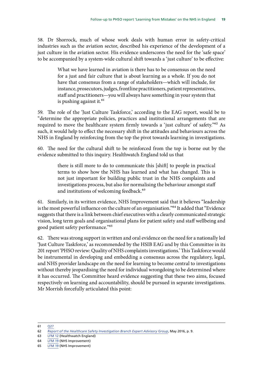58. Dr Shorrock, much of whose work deals with human error in safety-critical industries such as the aviation sector, described his experience of the development of a just culture in the aviation sector. His evidence underscores the need for the 'safe space' to be accompanied by a system-wide cultural shift towards a 'just culture' to be effective:

> What we have learned in aviation is there has to be consensus on the need for a just and fair culture that is about learning as a whole. If you do not have that consensus from a range of stakeholders—which will include, for instance, prosecutors, judges, frontline practitioners, patient representatives, staff and practitioners—you will always have something in your system that is pushing against it. $61$

59. The role of the 'Just Culture Taskforce,' according to the EAG report, would be to "determine the appropriate policies, practices and institutional arrangements that are required to move the healthcare system firmly towards a 'just culture' of safety."62 As such, it would help to effect the necessary shift in the attitudes and behaviours across the NHS in England by reinforcing from the top the pivot towards learning in investigations.

60. The need for the cultural shift to be reinforced from the top is borne out by the evidence submitted to this inquiry. Healthwatch England told us that

> there is still more to do to communicate this [shift] to people in practical terms to show how the NHS has learned and what has changed. This is not just important for building public trust in the NHS complaints and investigations process, but also for normalising the behaviour amongst staff and institutions of welcoming feedback.<sup>63</sup>

61. Similarly, in its written evidence, NHS Improvement said that it believes "leadership is the most powerful influence on the culture of an organisation."64 It added that "Evidence suggests that there is a link between chief executives with a clearly communicated strategic vision, long term goals and organisational plans for patient safety and staff wellbeing and good patient safety performance."65

62. There was strong support in written and oral evidence on the need for a nationally led 'Just Culture Taskforce,' as recommended by the HSIB EAG and by this Committee in its 201 report 'PHSO review: Quality of NHS complaints investigations.' This Taskforce would be instrumental in developing and embedding a consensus across the regulatory, legal, and NHS provider landscape on the need for learning to become central to investigations without thereby jeopardising the need for individual wrongdoing to be determined where it has occurred. The Committee heard evidence suggesting that these two aims, focused respectively on learning and accountability, should be pursued in separate investigations. Mr Morrish forcefully articulated this point:

<sup>61</sup> [Q27](http://data.parliament.uk/writtenevidence/committeeevidence.svc/evidencedocument/public-administration-and-constitutional-affairs-committee/phso-learning-from-mistakes/oral/42976.html) 

<sup>62</sup> *[Report of the Healthcare Safety Investigation Branch Expert Advisory Group](https://www.gov.uk/government/uploads/system/uploads/attachment_data/file/522785/hsibreport.pdf)*, May 2016, p. 9.

<sup>63</sup> [LFM 12](http://data.parliament.uk/writtenevidence/committeeevidence.svc/evidencedocument/public-administration-and-constitutional-affairs-committee/phso-learning-from-mistakes/written/42765.html) (Healthwatch England)

<sup>64</sup> [LFM 19](http://data.parliament.uk/writtenevidence/committeeevidence.svc/evidencedocument/public-administration-and-constitutional-affairs-committee/phso-learning-from-mistakes/written/43795.html) (NHS Improvement)

<sup>65</sup> [LFM 19](http://data.parliament.uk/writtenevidence/committeeevidence.svc/evidencedocument/public-administration-and-constitutional-affairs-committee/phso-learning-from-mistakes/written/43795.html) (NHS Improvement)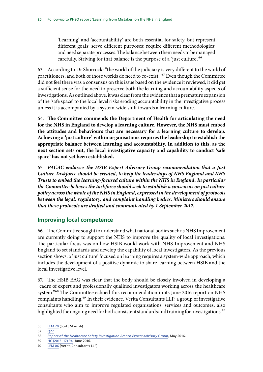<span id="page-21-0"></span>'Learning' and 'accountability' are both essential for safety, but represent different goals; serve different purposes; require different methodologies; and need separate processes. The balance between them needs to be managed carefully. Striving for that balance is the purpose of a 'just culture'.<sup>66</sup>

63. According to Dr Shorrock: "the world of the judiciary is very different to the world of practitioners, and both of those worlds do need to co-exist."67 Even though the Committee did not feel there was a consensus on this issue based on the evidence it reviewed, it did get a sufficient sense for the need to preserve both the learning and accountability aspects of investigations. As outlined above, it was clear from the evidence that a premature expansion of the 'safe space' to the local level risks eroding accountability in the investigative process unless it is accompanied by a system-wide shift towards a learning culture.

64. **The Committee commends the Department of Health for articulating the need for the NHS in England to develop a learning culture. However, the NHS must embed the attitudes and behaviours that are necessary for a learning culture to develop. Achieving a 'just culture' within organisations requires the leadership to establish the appropriate balance between learning and accountability. In addition to this, as the next section sets out, the local investigative capacity and capability to conduct 'safe space' has not yet been established.** 

65. *PACAC endorses the HSIB Expert Advisory Group recommendation that a Just Culture Taskforce should be created, to help the leaderships of NHS England and NHS Trusts to embed the learning-focused culture within the NHS in England. In particular the Committee believes the taskforce should seek to establish a consensus on just culture policy across the whole of the NHS in England, expressed in the development of protocols between the legal, regulatory, and complaint handling bodies. Ministers should ensure that these protocols are drafted and communicated by 1 September 2017.* 

### **Improving local competence**

66. The Committee sought to understand what national bodies such as NHS Improvement are currently doing to support the NHS to improve the quality of local investigations. The particular focus was on how HSIB would work with NHS Improvement and NHS England to set standards and develop the capability of local investigators. As the previous section shows, a 'just culture' focused on learning requires a system-wide approach, which includes the development of a positive dynamic to share learning between HSIB and the local investigative level.

67. The HSIB EAG was clear that the body should be closely involved in developing a "cadre of expert and professionally qualified investigators working across the healthcare system."68 The Committee echoed this recommendation in its June 2016 report on NHS complaints handling.69 In their evidence, Verita Consultants LLP, a group of investigative consultants who aim to improve regulated organisations' services and outcomes, also highlighted the ongoing need for both consistent standards and training for investigations.<sup>70</sup>

<sup>66</sup> [LFM 20](http://data.parliament.uk/writtenevidence/committeeevidence.svc/evidencedocument/public-administration-and-constitutional-affairs-committee/phso-learning-from-mistakes/written/43803.html) (Scott Morrish)

 $67 \overline{027}$ 

<sup>68</sup> *[Report of the Healthcare Safety Investigation Branch Expert Advisory Group](https://www.gov.uk/government/uploads/system/uploads/attachment_data/file/522785/hsibreport.pdf)*, May 2016.

<sup>69</sup> [HC \(2016–17\) 94,](http://www.publications.parliament.uk/pa/cm201617/cmselect/cmpubadm/94/94.pdf) June 2016.

<sup>70</sup> [LFM 06](http://data.parliament.uk/writtenevidence/committeeevidence.svc/evidencedocument/public-administration-and-constitutional-affairs-committee/phso-learning-from-mistakes/written/42617.html) (Verita Consultants LLP)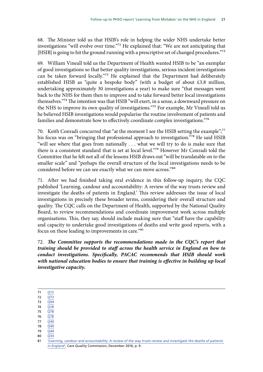68. The Minister told us that HSIB's role in helping the wider NHS undertake better investigations "will evolve over time."71 He explained that: "We are not anticipating that [HSIB] is going to hit the ground running with a prescriptive set of changed procedures."<sup>72</sup>

69. William Vineall told us the Department of Health wanted HSIB to be "an exemplar of good investigations so that better quality investigations, serious incident investigations can be taken forward locally."73 He explained that the Department had deliberately established HISB as "quite a bespoke body" (with a budget of about £3.8 million, undertaking approximately 30 investigations a year) to make sure "that messages went back to the NHS for them then to improve and to take forward better local investigations themselves."74 The intention was that HSIB "will exert, in a sense, a downward pressure on the NHS to improve its own quality of investigations."75 For example, Mr Vineall told us he believed HSIB investigations would popularise the routine involvement of patients and families and demonstrate how to effectively coordinate complex investigations."76

70. Keith Conradi concurred that "at the moment I see the HSIB setting the example";<sup>77</sup> his focus was on "bringing that professional approach to investigation."78 He said HSIB "will see where that goes from nationally . . . what we will try to do is make sure that there is a consistent standard that is set at local level."79 However Mr Conradi told the Committee that he felt not all of the lessons HSIB draws out "will be translatable on to the smaller scale" and "perhaps the overall structure of the local investigations needs to be considered before we can see exactly what we can move across."80

71. After we had finished taking oral evidence in this follow-up inquiry, the CQC published 'Learning, candour and accountability: A review of the way trusts review and investigate the deaths of patients in England.' This review addresses the issue of local investigations in precisely these broader terms, considering their overall structure and quality. The CQC calls on the Department of Health, supported by the National Quality Board, to review recommendations and coordinate improvement work across multiple organisations. This, they say, should include making sure that "staff have the capability and capacity to undertake good investigations of deaths and write good reports, with a focus on these leading to improvements in care."81

72. *The Committee supports the recommendations made in the CQC's report that training should be provided to staff across the health service in England on how to conduct investigations. Specifically, PACAC recommends that HSIB should work with national education bodies to ensure that training is effective in building up local investigative capacity.* 

71 [Q73](http://data.parliament.uk/writtenevidence/committeeevidence.svc/evidencedocument/public-administration-and-constitutional-affairs-committee/phso-learning-from-mistakes/oral/43593.html) 

- 72 [Q73](http://data.parliament.uk/writtenevidence/committeeevidence.svc/evidencedocument/public-administration-and-constitutional-affairs-committee/phso-learning-from-mistakes/oral/43593.html)
- 73 [Q94](http://data.parliament.uk/writtenevidence/committeeevidence.svc/evidencedocument/public-administration-and-constitutional-affairs-committee/phso-learning-from-mistakes/oral/43593.html)
- 74 [Q78](http://data.parliament.uk/writtenevidence/committeeevidence.svc/evidencedocument/public-administration-and-constitutional-affairs-committee/phso-learning-from-mistakes/oral/43593.html)  75 [Q78](http://data.parliament.uk/writtenevidence/committeeevidence.svc/evidencedocument/public-administration-and-constitutional-affairs-committee/phso-learning-from-mistakes/oral/43593.html)
- 76 [Q78](http://data.parliament.uk/writtenevidence/committeeevidence.svc/evidencedocument/public-administration-and-constitutional-affairs-committee/phso-learning-from-mistakes/oral/43593.html)
- 77 [Q40](http://data.parliament.uk/writtenevidence/committeeevidence.svc/evidencedocument/public-administration-and-constitutional-affairs-committee/phso-learning-from-mistakes/oral/42976.html)
- 78 [Q40](http://data.parliament.uk/writtenevidence/committeeevidence.svc/evidencedocument/public-administration-and-constitutional-affairs-committee/phso-learning-from-mistakes/oral/42976.html)
- $79 \overline{040}$
- 80 [Q34](http://data.parliament.uk/writtenevidence/committeeevidence.svc/evidencedocument/public-administration-and-constitutional-affairs-committee/phso-learning-from-mistakes/oral/42976.html)

<sup>81</sup> *['Learning, candour and accountability: A review of the way trusts review and investigate the deaths of patients](http://www.cqc.org.uk/sites/default/files/20161213-learning-candour-accountability-full-report.pdf)  [in England'](http://www.cqc.org.uk/sites/default/files/20161213-learning-candour-accountability-full-report.pdf)*, Care Quality Commission, December 2016, p. 9.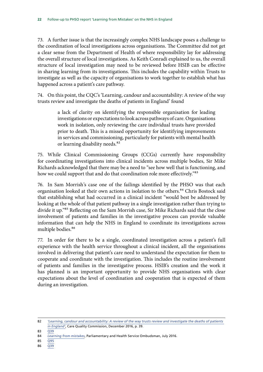73. A further issue is that the increasingly complex NHS landscape poses a challenge to the coordination of local investigations across organisations. The Committee did not get a clear sense from the Department of Health of where responsibility lay for addressing the overall structure of local investigations. As Keith Conradi explained to us, the overall structure of local investigation may need to be reviewed before HSIB can be effective in sharing learning from its investigations. This includes the capability within Trusts to investigate as well as the capacity of organisations to work together to establish what has happened across a patient's care pathway.

74. On this point, the CQC's 'Learning, candour and accountability: A review of the way trusts review and investigate the deaths of patients in England' found

> a lack of clarity on identifying the responsible organisation for leading investigations or expectations to look across pathways of care. Organisations work in isolation, only reviewing the care individual trusts have provided prior to death. This is a missed opportunity for identifying improvements in services and commissioning, particularly for patients with mental health or learning disability needs.<sup>82</sup>

75. While Clinical Commissioning Groups (CCGs) currently have responsibility for coordinating investigations into clinical incidents across multiple bodies, Sir Mike Richards acknowledged that there may be a need to "see how well that is functioning, and how we could support that and do that coordination role more effectively."83

76. In Sam Morrish's case one of the failings identified by the PHSO was that each organisation looked at their own actions in isolation to the others.<sup>84</sup> Chris Bostock said that establishing what had occurred in a clinical incident "would best be addressed by looking at the whole of that patient pathway in a single investigation rather than trying to divide it up."85 Reflecting on the Sam Morrish case, Sir Mike Richards said that the close involvement of patients and families in the investigative process can provide valuable information that can help the NHS in England to coordinate its investigations across multiple bodies.86

77. In order for there to be a single, coordinated investigation across a patient's full experience with the health service throughout a clinical incident, all the organisations involved in delivering that patient's care need to understand the expectation for them to cooperate and coordinate with the investigation. This includes the routine involvement of patients and families in the investigative process. HSIB's creation and the work it has planned is an important opportunity to provide NHS organisations with clear expectations about the level of coordination and cooperation that is expected of them during an investigation.

<sup>82</sup> *['Learning, candour and accountability: A review of the way trusts review and investigate the deaths of patients](http://www.cqc.org.uk/sites/default/files/20161213-learning-candour-accountability-full-report.pdf)  [in England'](http://www.cqc.org.uk/sites/default/files/20161213-learning-candour-accountability-full-report.pdf)*, Care Quality Commission, December 2016, p. 39.

<sup>83 039</sup> 

<sup>84</sup> *[Learning from mistakes](http://www.ombudsman.org.uk/__data/assets/pdf_file/0017/37034/Learning-from-mistakes-An-investigation-report-by-PHSO.pdf)*, Parliamentary and Health Service Ombudsman, July 2016.

<sup>85</sup> [Q95](http://data.parliament.uk/writtenevidence/committeeevidence.svc/evidencedocument/public-administration-and-constitutional-affairs-committee/phso-learning-from-mistakes/oral/43593.html)

<sup>86</sup> [Q39](http://data.parliament.uk/writtenevidence/committeeevidence.svc/evidencedocument/public-administration-and-constitutional-affairs-committee/phso-learning-from-mistakes/oral/42976.html)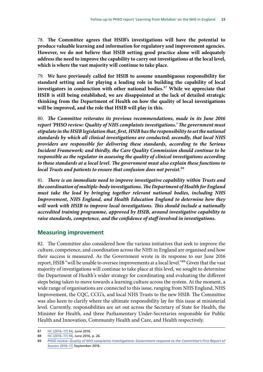<span id="page-24-0"></span>78. **The Committee agrees that HSIB's investigations will have the potential to produce valuable learning and information for regulatory and improvement agencies. However, we do not believe that HSIB setting good practice alone will adequately address the need to improve the capability to carry out investigations at the local level, which is where the vast majority will continue to take place.** 

79. **We have previously called for HSIB to assume unambiguous responsibility for standard setting and for playing a leading role in building the capability of local investigators in conjunction with other national bodies.**87 **While we appreciate that HSIB is still being established, we are disappointed at the lack of detailed strategic thinking from the Department of Health on how the quality of local investigations will be improved, and the role that HSIB will play in this.** 

80. *The Committee reiterates its previous recommendations, made in its June 2016 report 'PHSO review: Quality of NHS complaints investigations.' The government must stipulate in the HSIB legislation that, first, HSIB has the responsibility to set the national standards by which all clinical investigations are conducted; secondly, that local NHS providers are responsible for delivering these standards, according to the Serious Incident Framework; and thirdly, the Care Quality Commission should continue to be responsible as the regulator in assessing the quality of clinical investigations according to those standards at a local level. The government must also explain these functions to local Trusts and patients to ensure that confusion does not persist.*88

81. *There is an immediate need to improve investigative capability within Trusts and the coordination of multiple-body investigations. The Department of Health for England must take the lead by bringing together relevant national bodies, including NHS Improvement, NHS England, and Health Education England to determine how they will work with HSIB to improve local investigations. This should include a nationally accredited training programme, approved by HSIB, around investigative capability to raise standards, competence, and the confidence of staff involved in investigations.* 

### **Measuring improvement**

82. The Committee also considered how the various initiatives that seek to improve the culture, competence, and coordination across the NHS in England are organised and how their success is measured. As the Government wrote in its response to our June 2016 report, HSIB "will be unable to oversee improvements at a local level."<sup>89</sup> Given that the vast majority of investigations will continue to take place at this level, we sought to determine the Department of Health's wider strategy for coordinating and evaluating the different steps being taken to move towards a learning culture across the system. At the moment, a wide range of organisations are connected to this issue, ranging from NHS England, NHS Improvement, the CQC, CCG's, and local NHS Trusts to the new HSIB. The Committee was also keen to clarify where the ultimate responsibility lay for this issue at ministerial level. Currently, responsibilities are set out across the Secretary of State for Health, the Minister for Health, and three Parliamentary Under-Secretaries responsible for Public Health and Innovation, Community Health and Care, and Health respectively.

<sup>87</sup> [HC \(2016–17\) 94,](http://www.publications.parliament.uk/pa/cm201617/cmselect/cmpubadm/94/94.pdf) June 2016.

<sup>88</sup> [HC \(2016–17\) 94,](http://www.publications.parliament.uk/pa/cm201617/cmselect/cmpubadm/94/94.pdf) June 2016, p. 26.

<sup>89</sup> *[PHSO review: Quality of NHS complaints investigations: Government response to the Committee's First Report of](http://www.publications.parliament.uk/pa/cm201617/cmselect/cmpubadm/742/74202.htm)  [Session 2016–17](http://www.publications.parliament.uk/pa/cm201617/cmselect/cmpubadm/742/74202.htm)*, September 2016.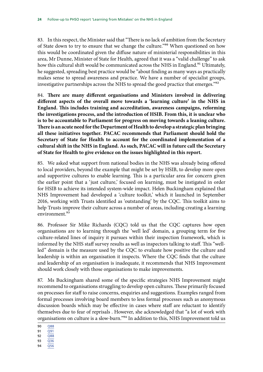83. In this respect, the Minister said that "There is no lack of ambition from the Secretary of State down to try to ensure that we change the culture."90 When questioned on how this would be coordinated given the diffuse nature of ministerial responsibilities in this area, Mr Dunne, Minister of State for Health, agreed that it was a "valid challenge" to ask how this cultural shift would be communicated across the NHS in England.<sup>91</sup> Ultimately, he suggested, spreading best practice would be "about finding as many ways as practically makes sense to spread awareness and practice. We have a number of specialist groups, investigative partnerships across the NHS to spread the good practice that emerges."92

84. **There are many different organisations and Ministers involved in delivering different aspects of the overall move towards a 'learning culture' in the NHS in England. This includes training and accreditation, awareness campaigns, reforming the investigations process, and the introduction of HSIB. From this, it is unclear who is to be accountable to Parliament for progress on moving towards a leaning culture. There is an acute need for the Department of Health to develop a strategic plan bringing all these initiatives together. PACAC recommends that Parliament should hold the Secretary of State for Health to account for the coordinated implementation of a cultural shift in the NHS in England. As such, PACAC will in future call the Secretary of State for Health to give evidence on the issues highlighted in this report.** 

85. We asked what support from national bodies in the NHS was already being offered to local providers, beyond the example that might be set by HSIB, to develop more open and supportive cultures to enable learning. This is a particular area for concern given the earlier point that a 'just culture,' focused on learning, must be instigated in order for HSIB to achieve its intended system-wide impact. Helen Buckingham explained that NHS Improvement had developed a 'culture toolkit,' which it launched in September 2016, working with Trusts identified as 'outstanding' by the CQC. This toolkit aims to help Trusts improve their culture across a number of areas, including creating a learning environment.<sup>93</sup>

86. Professor Sir Mike Richards (CQC) told us that the CQC captures how open organisations are to learning through the 'well led' domain, a grouping term for five culture-related lines of inquiry it pursues within their inspection framework, which is informed by the NHS staff survey results as well as inspectors talking to staff. This "wellled" domain is the measure used by the CQC to evaluate how positive the culture and leadership is within an organisation it inspects. Where the CQC finds that the culture and leadership of an organisation is inadequate, it recommends that NHS Improvement should work closely with those organisations to make improvements.

87. Ms Buckingham shared some of the specific strategies NHS Improvement might recommend to organisations struggling to develop open cultures. These primarily focused on processes for staff to raise concerns, enquiries and suggestions. Examples ranged from formal processes involving board members to less formal processes such as anonymous discussion boards which may be effective in cases where staff are reluctant to identify themselves due to fear of reprisals . However, she acknowledged that "a lot of work with organisations on culture is a slow-burn."<sup>94</sup> In addition to this, NHS Improvement told us

- 90 [Q88](http://data.parliament.uk/writtenevidence/committeeevidence.svc/evidencedocument/public-administration-and-constitutional-affairs-committee/phso-learning-from-mistakes/oral/43593.html)
- 91  $\overline{O91}$
- 92 [Q88](http://data.parliament.uk/writtenevidence/committeeevidence.svc/evidencedocument/public-administration-and-constitutional-affairs-committee/phso-learning-from-mistakes/oral/43593.html)
- 93 [Q36](http://data.parliament.uk/writtenevidence/committeeevidence.svc/evidencedocument/public-administration-and-constitutional-affairs-committee/phso-learning-from-mistakes/oral/42976.html)
- 94 [Q56](http://data.parliament.uk/writtenevidence/committeeevidence.svc/evidencedocument/public-administration-and-constitutional-affairs-committee/phso-learning-from-mistakes/oral/42976.html)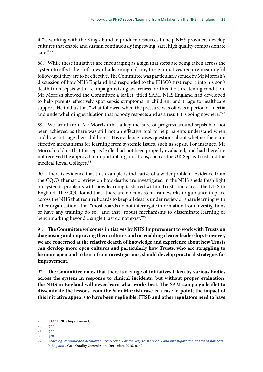it "is working with the King's Fund to produce resources to help NHS providers develop cultures that enable and sustain continuously improving, safe, high quality compassionate care<sup>"95</sup>

88. While these initiatives are encouraging as a sign that steps are being taken across the system to effect the shift toward a learning culture, these initiatives require meaningful follow-up if they are to be effective. The Committee was particularly struck by Mr Morrish's discussion of how NHS England had responded to the PHSO's first report into his son's death from sepsis with a campaign raising awareness for this life-threatening condition. Mr Morrish showed the Committee a leaflet, titled SAM, NHS England had developed to help parents effectively spot sepsis symptoms in children, and triage to healthcare support. He told us that "what followed when the pressure was off was a period of inertia and underwhelming evaluation that nobody respects and as a result it is going nowhere."<sup>96</sup>

89. We heard from Mr Morrish that a key measure of progress around sepsis had not been achieved as there was still not an effective tool to help parents understand when and how to triage their children.<sup>97</sup> His evidence raises questions about whether there are effective mechanisms for learning from systemic issues, such as sepsis. For instance, Mr Morrish told us that the sepsis leaflet had not been properly evaluated, and had therefore not received the approval of important organisations, such as the UK Sepsis Trust and the medical Royal Colleges.<sup>98</sup>

90. There is evidence that this example is indicative of a wider problem. Evidence from the CQC's thematic review on how deaths are investigated in the NHS sheds fresh light on systemic problems with how learning is shared within Trusts and across the NHS in England. The CQC found that "there are no consistent frameworks or guidance in place across the NHS that require boards to keep all deaths under review or share learning with other organisation," that "most boards do not interrogate information from investigations or have any training do so," and that "robust mechanisms to disseminate learning or benchmarking beyond a single trust do not exist."99

91. **The Committee welcomes initiatives by NHS Improvement to work with Trusts on diagnosing and improving their cultures and on enabling clearer leadership. However, we are concerned at the relative dearth of knowledge and experience about how Trusts can develop more open cultures and particularly how Trusts, who are struggling to be more open and to learn from investigations, should develop practical strategies for improvement.** 

92. **The Committee notes that there is a range of initiatives taken by various bodies across the system in response to clinical incidents, but without proper evaluation, the NHS in England will never learn what works best. The SAM campaign leaflet to disseminate the lessons from the Sam Morrish case is a case in point; the impact of this initiative appears to have been negligible. HISB and other regulators need to have** 

- $97 \overline{027}$
- 98 [Q28](http://data.parliament.uk/writtenevidence/committeeevidence.svc/evidencedocument/public-administration-and-constitutional-affairs-committee/phso-learning-from-mistakes/oral/42976.html)

<sup>95</sup> [LFM 19](http://data.parliament.uk/writtenevidence/committeeevidence.svc/evidencedocument/public-administration-and-constitutional-affairs-committee/phso-learning-from-mistakes/written/43795.html) (NHS Improvement)

<sup>96</sup> [Q27](http://data.parliament.uk/writtenevidence/committeeevidence.svc/evidencedocument/public-administration-and-constitutional-affairs-committee/phso-learning-from-mistakes/oral/42976.html) 

<sup>99</sup> *['Learning, candour and accountability: A review of the way trusts review and investigate the deaths of patients](http://www.cqc.org.uk/sites/default/files/20161213-learning-candour-accountability-full-report.pdf)  [in England'](http://www.cqc.org.uk/sites/default/files/20161213-learning-candour-accountability-full-report.pdf)*, Care Quality Commission, December 2016, p. 49.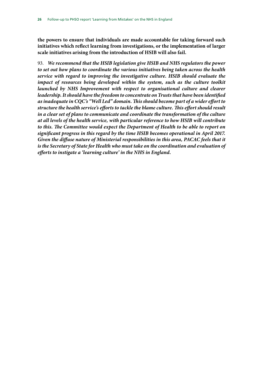**the powers to ensure that individuals are made accountable for taking forward such initiatives which reflect learning from investigations, or the implementation of larger scale initiatives arising from the introduction of HSIB will also fail.** 

93. *We recommend that the HSIB legislation give HSIB and NHS regulators the power to set out how plans to coordinate the various initiatives being taken across the health service with regard to improving the investigative culture. HSIB should evaluate the impact of resources being developed within the system, such as the culture toolkit launched by NHS Improvement with respect to organisational culture and clearer leadership. It should have the freedom to concentrate on Trusts that have been identified as inadequate in CQC's "Well Led" domain. This should become part of a wider effort to structure the health service's efforts to tackle the blame culture. This effort should result in a clear set of plans to communicate and coordinate the transformation of the culture at all levels of the health service, with particular reference to how HSIB will contribute*  to this. The Committee would expect the Department of Health to be able to report on *significant progress in this regard by the time HSIB becomes operational in April 2017.*  Given the diffuse nature of Ministerial responsibilities in this area, PACAC feels that it *is the Secretary of State for Health who must take on the coordination and evaluation of efforts to instigate a 'learning culture' in the NHS in England.*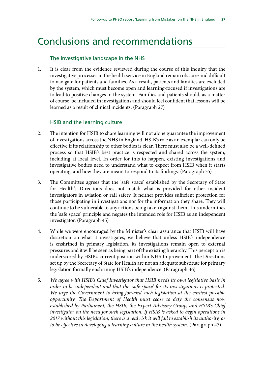## <span id="page-28-0"></span>Conclusions and recommendations

#### The investigative landscape in the NHS

1. It is clear from the evidence reviewed during the course of this inquiry that the investigative processes in the health service in England remain obscure and difficult to navigate for patients and families. As a result, patients and families are excluded by the system, which must become open and learning-focused if investigations are to lead to positive changes in the system. Families and patients should, as a matter of course, be included in investigations and should feel confident that lessons will be learned as a result of clinical incidents. (Paragraph 27)

#### HSIB and the learning culture

- 2. The intention for HSIB to share learning will not alone guarantee the improvement of investigations across the NHS in England. HSIB's role as an exemplar can only be effective if its relationship to other bodies is clear. There must also be a well-defined process so that HSIB's best practice is respected and shared across the system, including at local level. In order for this to happen, existing investigations and investigative bodies need to understand what to expect from HSIB when it starts operating, and how they are meant to respond to its findings. (Paragraph 35)
- 3. The Committee agrees that the 'safe space' established by the Secretary of State for Health's Directions does not match what is provided for other incident investigators in aviation or rail safety. It neither provides sufficient protection for those participating in investigations nor for the information they share. They will continue to be vulnerable to any actions being taken against them. This undermines the 'safe space' principle and negates the intended role for HSIB as an independent investigator. (Paragraph 45)
- 4. While we were encouraged by the Minister's clear assurance that HSIB will have discretion on what it investigates, we believe that unless HSIB's independence is enshrined in primary legislation, its investigations remain open to external pressures and it will be seen as being part of the existing hierarchy. This perception is underscored by HSIB's current position within NHS Improvement. The Directions set up by the Secretary of State for Health are not an adequate substitute for primary legislation formally enshrining HSIB's independence. (Paragraph 46)
- 5. *We agree with HSIB's Chief Investigator that HSIB needs its own legislative basis in order to be independent and that the 'safe space' for its investigations is protected. We urge the Government to bring forward such legislation at the earliest possible opportunity. The Department of Health must cease to defy the consensus now established by Parliament, the HSIB, the Expert Advisory Group, and HSIB's Chief investigator on the need for such legislation. If HSIB is asked to begin operations in 2017 without this legislation, there is a real risk it will fail to establish its authority, or to be effective in developing a learning culture in the health system.* (Paragraph 47)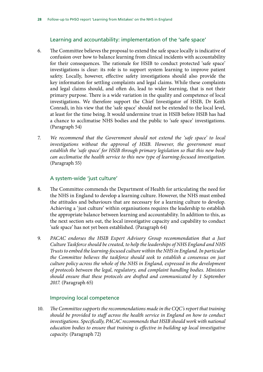#### Learning and accountability: implementation of the 'safe space'

- 6. The Committee believes the proposal to extend the safe space locally is indicative of confusion over how to balance learning from clinical incidents with accountability for their consequences. The rationale for HSIB to conduct protected 'safe space' investigations is clear: its role is to support system learning to improve patient safety. Locally, however, effective safety investigations should also provide the key information for settling complaints and legal claims. While these complaints and legal claims should, and often do, lead to wider learning, that is not their primary purpose. There is a wide variation in the quality and competence of local investigations. We therefore support the Chief Investigator of HSIB, Dr Keith Conradi, in his view that the 'safe space' should not be extended to the local level, at least for the time being. It would undermine trust in HSIB before HSIB has had a chance to acclimatise NHS bodies and the public to 'safe space' investigations. (Paragraph 54)
- 7. *We recommend that the Government should not extend the 'safe space' to local*  investigations without the approval of HSIB. However, the government must *establish the 'safe space' for HSIB through primary legislation so that this new body can acclimatise the health service to this new type of learning-focused investigation.*  (Paragraph 55)

#### A system-wide 'just culture'

- 8. The Committee commends the Department of Health for articulating the need for the NHS in England to develop a learning culture. However, the NHS must embed the attitudes and behaviours that are necessary for a learning culture to develop. Achieving a 'just culture' within organisations requires the leadership to establish the appropriate balance between learning and accountability. In addition to this, as the next section sets out, the local investigative capacity and capability to conduct 'safe space' has not yet been established. (Paragraph 64)
- 9. *PACAC endorses the HSIB Expert Advisory Group recommendation that a Just Culture Taskforce should be created, to help the leaderships of NHS England and NHS Trusts to embed the learning-focused culture within the NHS in England. In particular the Committee believes the taskforce should seek to establish a consensus on just culture policy across the whole of the NHS in England, expressed in the development of protocols between the legal, regulatory, and complaint handling bodies. Ministers should ensure that these protocols are drafted and communicated by 1 September 2017.* (Paragraph 65)

#### Improving local competence

10. *The Committee supports the recommendations made in the CQC's report that training should be provided to staff across the health service in England on how to conduct investigations. Specifically, PACAC recommends that HSIB should work with national education bodies to ensure that training is effective in building up local investigative capacity.* (Paragraph 72)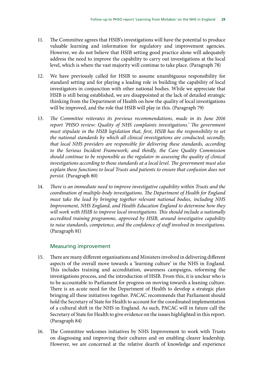- 11. The Committee agrees that HSIB's investigations will have the potential to produce valuable learning and information for regulatory and improvement agencies. However, we do not believe that HSIB setting good practice alone will adequately address the need to improve the capability to carry out investigations at the local level, which is where the vast majority will continue to take place. (Paragraph 78)
- 12. We have previously called for HSIB to assume unambiguous responsibility for standard setting and for playing a leading role in building the capability of local investigators in conjunction with other national bodies. While we appreciate that HSIB is still being established, we are disappointed at the lack of detailed strategic thinking from the Department of Health on how the quality of local investigations will be improved, and the role that HSIB will play in this. (Paragraph 79)
- 13. *The Committee reiterates its previous recommendations, made in its June 2016 report 'PHSO review: Quality of NHS complaints investigations.' The government must stipulate in the HSIB legislation that, first, HSIB has the responsibility to set the national standards by which all clinical investigations are conducted; secondly, that local NHS providers are responsible for delivering these standards, according to the Serious Incident Framework; and thirdly, the Care Quality Commission should continue to be responsible as the regulator in assessing the quality of clinical investigations according to those standards at a local level. The government must also explain these functions to local Trusts and patients to ensure that confusion does not persist.* (Paragraph 80)
- 14. *There is an immediate need to improve investigative capability within Trusts and the coordination of multiple-body investigations. The Department of Health for England must take the lead by bringing together relevant national bodies, including NHS Improvement, NHS England, and Health Education England to determine how they will work with HSIB to improve local investigations. This should include a nationally accredited training programme, approved by HSIB, around investigative capability to raise standards, competence, and the confidence of staff involved in investigations.*  (Paragraph 81)

#### Measuring improvement

- 15. There are many different organisations and Ministers involved in delivering different aspects of the overall move towards a 'learning culture' in the NHS in England. This includes training and accreditation, awareness campaigns, reforming the investigations process, and the introduction of HSIB. From this, it is unclear who is to be accountable to Parliament for progress on moving towards a leaning culture. There is an acute need for the Department of Health to develop a strategic plan bringing all these initiatives together. PACAC recommends that Parliament should hold the Secretary of State for Health to account for the coordinated implementation of a cultural shift in the NHS in England. As such, PACAC will in future call the Secretary of State for Health to give evidence on the issues highlighted in this report. (Paragraph 84)
- 16. The Committee welcomes initiatives by NHS Improvement to work with Trusts on diagnosing and improving their cultures and on enabling clearer leadership. However, we are concerned at the relative dearth of knowledge and experience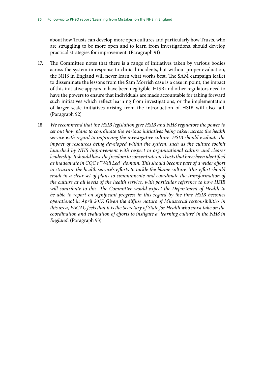about how Trusts can develop more open cultures and particularly how Trusts, who are struggling to be more open and to learn from investigations, should develop practical strategies for improvement. (Paragraph 91)

- 17. The Committee notes that there is a range of initiatives taken by various bodies across the system in response to clinical incidents, but without proper evaluation, the NHS in England will never learn what works best. The SAM campaign leaflet to disseminate the lessons from the Sam Morrish case is a case in point; the impact of this initiative appears to have been negligible. HISB and other regulators need to have the powers to ensure that individuals are made accountable for taking forward such initiatives which reflect learning from investigations, or the implementation of larger scale initiatives arising from the introduction of HSIB will also fail. (Paragraph 92)
- 18. *We recommend that the HSIB legislation give HSIB and NHS regulators the power to set out how plans to coordinate the various initiatives being taken across the health service with regard to improving the investigative culture. HSIB should evaluate the impact of resources being developed within the system, such as the culture toolkit*  launched by NHS Improvement with respect to organisational culture and clearer *leadership. It should have the freedom to concentrate on Trusts that have been identified as inadequate in CQC's "Well Led" domain. This should become part of a wider effort to structure the health service's efforts to tackle the blame culture. This effort should result in a clear set of plans to communicate and coordinate the transformation of the culture at all levels of the health service, with particular reference to how HSIB will contribute to this. The Committee would expect the Department of Health to be able to report on significant progress in this regard by the time HSIB becomes operational in April 2017. Given the diffuse nature of Ministerial responsibilities in this area, PACAC feels that it is the Secretary of State for Health who must take on the coordination and evaluation of efforts to instigate a 'learning culture' in the NHS in England.* (Paragraph 93)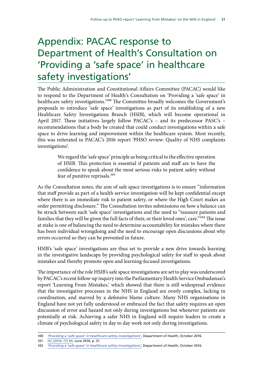## <span id="page-32-0"></span>Appendix: PACAC response to Department of Health's Consultation on 'Providing a 'safe space' in healthcare safety investigations'

The Public Administration and Constitutional Affairs Committee (PACAC) would like to respond to the Department of Health's Consultation on 'Providing a 'safe space' in healthcare safety investigations.'100 The Committee broadly welcomes the Government's proposals to introduce 'safe space' investigations as part of its establishing of a new Healthcare Safety Investigations Branch (HSIB), which will become operational in April 2017. These initiatives largely follow PACAC's – and its predecessor PASC's – recommendations that a body be created that could conduct investigations within a safe space to drive learning and improvement within the healthcare system. Most recently, this was reiterated in PACAC's 2016 report 'PHSO review: Quality of NHS complaints investigations':

> We regard the 'safe space' principle as being critical to the effective operation of HSIB. This protection is essential if patients and staff are to have the confidence to speak about the most serious risks to patient safety without fear of punitive reprisals.101

As the Consultation notes, the aim of safe space investigations is to ensure "information that staff provide as part of a health service investigation will be kept confidential except where there is an immediate risk to patient safety, or where the High Court makes an order permitting disclosure." The Consultation invites submissions on how a balance can be struck between such 'safe space' investigations and the need to "reassure patients and families that they will be given the full facts of their, or their loved ones', care."<sup>102</sup> The issue at stake is one of balancing the need to determine accountability for mistakes where there has been individual wrongdoing and the need to encourage open discussions about why errors occurred so they can be prevented in future.

HSIB's 'safe space' investigations are thus set to provide a new drive towards learning in the investigative landscape by providing psychological safety for staff to speak about mistakes and thereby promote open and learning-focused investigations.

The importance of the role HSIB's safe space investigations are set to play was underscored by PACAC's recent follow-up inquiry into the Parliamentary Health Service Ombudsman's report 'Learning From Mistakes,' which showed that there is still widespread evidence that the investigative processes in the NHS in England are overly complex, lacking in coordination, and marred by a defensive blame culture. Many NHS organisations in England have not yet fully understood or embraced the fact that safety requires an open discussion of error and hazard not only during investigations but whenever patients are potentially at risk. Achieving a safer NHS in England will require leaders to create a climate of psychological safety in day to day work not only during investigations.

<sup>100</sup> *['Providing a 'safe space' in healthcare safety investigations'](https://www.gov.uk/government/uploads/system/uploads/attachment_data/file/560522/Safe_spaces_cons.pdf)*, Department of Health, October 2016.

<sup>101</sup> [HC \(2016–17\) 94,](http://www.publications.parliament.uk/pa/cm201617/cmselect/cmpubadm/94/94.pdf) June 2016, p. 31.

<sup>102</sup> *['Providing a 'safe space' in healthcare safety investigations'](https://www.gov.uk/government/uploads/system/uploads/attachment_data/file/560522/Safe_spaces_cons.pdf)*, Department of Health, October 2016.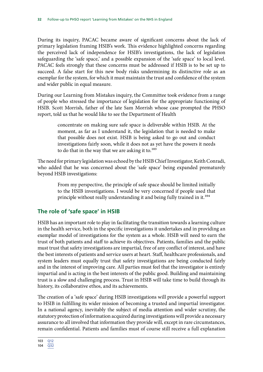During its inquiry, PACAC became aware of significant concerns about the lack of primary legislation framing HSIB's work. This evidence highlighted concerns regarding the perceived lack of independence for HSIB's investigations, the lack of legislation safeguarding the 'safe space,' and a possible expansion of the 'safe space' to local level. PACAC feels strongly that these concerns must be addressed if HSIB is to be set up to succeed. A false start for this new body risks undermining its distinctive role as an exemplar for the system, for which it must maintain the trust and confidence of the system and wider public in equal measure.

During our Learning from Mistakes inquiry, the Committee took evidence from a range of people who stressed the importance of legislation for the appropriate functioning of HSIB. Scott Morrish, father of the late Sam Morrish whose case prompted the PHSO report, told us that he would like to see the Department of Health

> concentrate on making sure safe space is deliverable within HSIB. At the moment, as far as I understand it, the legislation that is needed to make that possible does not exist. HSIB is being asked to go out and conduct investigations fairly soon, while it does not as yet have the powers it needs to do that in the way that we are asking it to.<sup>103</sup>

The need for primary legislation was echoed by the HSIB Chief Investigator, Keith Conradi, who added that he was concerned about the 'safe space' being expanded prematurely beyond HSIB investigations:

> From my perspective, the principle of safe space should be limited initially to the HSIB investigations. I would be very concerned if people used that principle without really understanding it and being fully trained in it.<sup>104</sup>

### **The role of 'safe space' in HSIB**

HSIB has an important role to play in facilitating the transition towards a learning culture in the health service, both in the specific investigations it undertakes and in providing an exemplar model of investigations for the system as a whole. HSIB will need to earn the trust of both patients and staff to achieve its objectives. Patients, families and the public must trust that safety investigations are impartial, free of any conflict of interest, and have the best interests of patients and service users at heart. Staff, healthcare professionals, and system leaders must equally trust that safety investigations are being conducted fairly and in the interest of improving care. All parties must feel that the investigator is entirely impartial and is acting in the best interests of the public good. Building and maintaining trust is a slow and challenging process. Trust in HSIB will take time to build through its history, its collaborative ethos, and its achievements.

The creation of a 'safe space' during HSIB investigations will provide a powerful support to HSIB in fulfilling its wider mission of becoming a trusted and impartial investigator. In a national agency, inevitably the subject of media attention and wider scrutiny, the statutory protection of information acquired during investigations will provide a necessary assurance to all involved that information they provide will, except in rare circumstances, remain confidential. Patients and families must of course still receive a full explanation

<sup>103</sup> [Q12](http://data.parliament.uk/writtenevidence/committeeevidence.svc/evidencedocument/public-administration-and-constitutional-affairs-committee/phso-learning-from-mistakes/oral/42976.html) 104 [Q32](http://data.parliament.uk/writtenevidence/committeeevidence.svc/evidencedocument/public-administration-and-constitutional-affairs-committee/phso-learning-from-mistakes/oral/42976.html)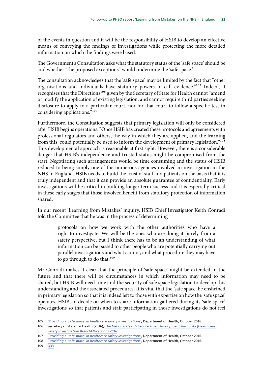of the events in question and it will be the responsibility of HSIB to develop an effective means of conveying the findings of investigations while protecting the more detailed information on which the findings were based.

The Government's Consultation asks what the statutory status of the 'safe space' should be and whether "the proposed exceptions" would undermine the 'safe space.'

The consultation acknowledges that the 'safe space' may be limited by the fact that "other organisations and individuals have statutory powers to call evidence."105 Indeed, it recognises that the Directions<sup>106</sup> given by the Secretary of State for Health cannot "amend or modify the application of existing legislation, and cannot require third parties seeking disclosure to apply to a particular court, nor for that court to follow a specific test in considering applications."107

Furthermore, the Consultation suggests that primary legislation will only be considered after HSIB begins operations: "Once HSIB has created these protocols and agreements with professional regulators and others, the way in which they are applied, and the learning from this, could potentially be used to inform the development of primary legislation."<sup>108</sup> This developmental approach is reasonable at first sight. However, there is a considerable danger that HSIB's independence and trusted status might be compromised from the start. Negotiating such arrangements would be time consuming and the status of HSIB reduced to being simply one of the numerous agencies involved in investigation in the NHS in England. HSIB needs to build the trust of staff and patients on the basis that it is truly independent and that it can provide an absolute guarantee of confidentiality. Early investigations will be critical in building longer term success and it is especially critical in these early stages that those involved benefit from statutory protection of information shared.

In our recent 'Learning from Mistakes' inquiry, HSIB Chief Investigator Keith Conradi told the Committee that he was in the process of determining

> protocols on how we work with the other authorities who have a right to investigate. We will be the ones who are doing it purely from a safety perspective, but I think there has to be an understanding of what information can be passed to other people who are potentially carrying out parallel investigations and what cannot, and what procedure they may have to go through to do that.<sup>109</sup>

Mr Conradi makes it clear that the principle of 'safe space' might be extended in the future and that there will be circumstances in which information may need to be shared, but HSIB will need time and the security of safe space legislation to develop this understanding and the associated procedures. It is vital that the 'safe space' be enshrined in primary legislation so that it is indeed left to those with expertise on how the 'safe space' operates, HSIB, to decide on when to share information gathered during its 'safe space' investigations so that patients and staff participating in those investigations do not feel

<sup>105</sup> *['Providing a 'safe space' in healthcare safety investigations'](https://www.gov.uk/government/uploads/system/uploads/attachment_data/file/560522/Safe_spaces_cons.pdf)*, Department of Health, October 2016.

<sup>106</sup> Secretary of State for Health (2016), *[The National Health Service Trust Development Authority \(Healthcare](https://www.gov.uk/government/uploads/system/uploads/attachment_data/file/514217/HSIB_directions.pdf)  [Safety Investigation Branch\) Directions 2016](https://www.gov.uk/government/uploads/system/uploads/attachment_data/file/514217/HSIB_directions.pdf)*.

<sup>107</sup> *['Providing a 'safe space' in healthcare safety investigations'](https://www.gov.uk/government/uploads/system/uploads/attachment_data/file/560522/Safe_spaces_cons.pdf)*, Department of Health, October 2016.

<sup>108</sup> *['Providing a 'safe space' in healthcare safety investigations'](https://www.gov.uk/government/uploads/system/uploads/attachment_data/file/560522/Safe_spaces_cons.pdf)*, Department of Health, October 2016.

<sup>109</sup> [Q33](http://data.parliament.uk/writtenevidence/committeeevidence.svc/evidencedocument/public-administration-and-constitutional-affairs-committee/phso-learning-from-mistakes/oral/42976.html)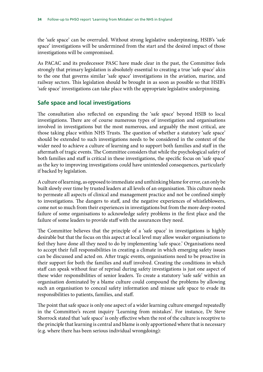the 'safe space' can be overruled. Without strong legislative underpinning, HSIB's 'safe space' investigations will be undermined from the start and the desired impact of those investigations will be compromised.

As PACAC and its predecessor PASC have made clear in the past, the Committee feels strongly that primary legislation is absolutely essential to creating a true 'safe space' akin to the one that governs similar 'safe space' investigations in the aviation, marine, and railway sectors. This legislation should be brought in as soon as possible so that HSIB's 'safe space' investigations can take place with the appropriate legislative underpinning.

#### **Safe space and local investigations**

The consultation also reflected on expanding the 'safe space' beyond HSIB to local investigations. There are of course numerous types of investigation and organisations involved in investigations but the most numerous, and arguably the most critical, are those taking place within NHS Trusts. The question of whether a statutory 'safe space' should be extended to such investigations needs to be considered in the context of the wider need to achieve a culture of learning and to support both families and staff in the aftermath of tragic events. The Committee considers that while the psychological safety of both families and staff is critical in these investigations, the specific focus on 'safe space' as the key to improving investigations could have unintended consequences, particularly if backed by legislation.

A culture of learning, as opposed to immediate and unthinking blame for error, can only be built slowly over time by trusted leaders at all levels of an organisation. This culture needs to permeate all aspects of clinical and management practice and not be confined simply to investigations. The dangers to staff, and the negative experiences of whistleblowers, come not so much from their experiences in investigations but from the more deep-rooted failure of some organisations to acknowledge safety problems in the first place and the failure of some leaders to provide staff with the assurances they need.

The Committee believes that the principle of a 'safe space' in investigations is highly desirable but that the focus on this aspect at local level may allow weaker organisations to feel they have done all they need to do by implementing 'safe space.' Organisations need to accept their full responsibilities in creating a climate in which emerging safety issues can be discussed and acted on. After tragic events, organisations need to be proactive in their support for both the families and staff involved. Creating the conditions in which staff can speak without fear of reprisal during safety investigations is just one aspect of these wider responsibilities of senior leaders. To create a statutory 'safe safe' within an organisation dominated by a blame culture could compound the problems by allowing such an organisation to conceal safety information and misuse safe space to evade its responsibilities to patients, families, and staff.

The point that safe space is only one aspect of a wider learning culture emerged repeatedly in the Committee's recent inquiry 'Learning from mistakes'. For instance, Dr Steve Shorrock stated that 'safe space' is only effective when the rest of the culture is receptive to the principle that learning is central and blame is only apportioned where that is necessary (e.g. where there has been serious individual wrongdoing):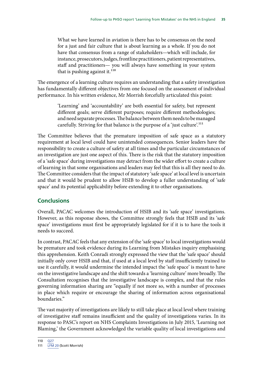What we have learned in aviation is there has to be consensus on the need for a just and fair culture that is about learning as a whole. If you do not have that consensus from a range of stakeholders—which will include, for instance, prosecutors, judges, frontline practitioners, patient representatives, staff and practitioners— you will always have something in your system that is pushing against it. $110$ 

The emergence of a learning culture requires an understanding that a safety investigation has fundamentally different objectives from one focused on the assessment of individual performance. In his written evidence, Mr Morrish forcefully articulated this point:

> 'Learning' and 'accountability' are both essential for safety, but represent different goals; serve different purposes; require different methodologies; and need separate processes. The balance between them needs to be managed carefully. Striving for that balance is the purpose of a 'just culture'.<sup>111</sup>

The Committee believes that the premature imposition of safe space as a statutory requirement at local level could have unintended consequences. Senior leaders have the responsibility to create a culture of safety at all times and the particular circumstances of an investigation are just one aspect of this. There is the risk that the statutory imposition of a 'safe space' during investigations may detract from the wider effort to create a culture of learning in that some organisations and leaders may feel that this is all they need to do. The Committee considers that the impact of statutory 'safe space' at local level is uncertain and that it would be prudent to allow HSIB to develop a fuller understanding of 'safe space' and its potential applicability before extending it to other organisations.

### **Conclusions**

Overall, PACAC welcomes the introduction of HSIB and its 'safe space' investigations. However, as this response shows, the Committee strongly feels that HSIB and its 'safe space' investigations must first be appropriately legislated for if it is to have the tools it needs to succeed.

In contrast, PACAC feels that any extension of the 'safe space' to local investigations would be premature and took evidence during its Learning from Mistakes inquiry emphasising this apprehension. Keith Conradi strongly expressed the view that the 'safe space' should initially only cover HSIB and that, if used at a local level by staff insufficiently trained to use it carefully, it would undermine the intended impact the 'safe space' is meant to have on the investigative landscape and the shift towards a 'learning culture' more broadly. The Consultation recognises that the investigative landscape is complex, and that the rules governing information sharing are "equally if not more so, with a number of processes in place which require or encourage the sharing of information across organisational boundaries."

The vast majority of investigations are likely to still take place at local level where training of investigative staff remains insufficient and the quality of investigations varies. In its response to PASC's report on NHS Complaints Investigations in July 2015, 'Learning not Blaming,' the Government acknowledged the variable quality of local investigations and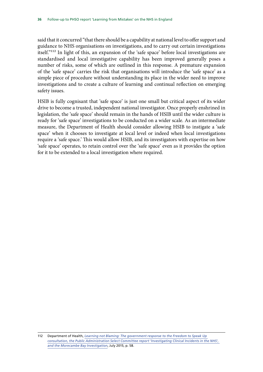said that it concurred "that there should be a capability at national level to offer support and guidance to NHS organisations on investigations, and to carry out certain investigations itself."112 In light of this, an expansion of the 'safe space' before local investigations are standardised and local investigative capability has been improved generally poses a number of risks, some of which are outlined in this response. A premature expansion of the 'safe space' carries the risk that organisations will introduce the 'safe space' as a simple piece of procedure without understanding its place in the wider need to improve investigations and to create a culture of learning and continual reflection on emerging safety issues.

HSIB is fully cognisant that 'safe space' is just one small but critical aspect of its wider drive to become a trusted, independent national investigator. Once properly enshrined in legislation, the 'safe space' should remain in the hands of HSIB until the wider culture is ready for 'safe space' investigations to be conducted on a wider scale. As an intermediate measure, the Department of Health should consider allowing HSIB to instigate a 'safe space' when it chooses to investigate at local level or indeed when local investigations require a 'safe space.' This would allow HSIB, and its investigators with expertise on how 'safe space' operates, to retain control over the 'safe space' even as it provides the option for it to be extended to a local investigation where required.

<sup>112</sup> Department of Health, *[Learning not Blaming: The government response to the Freedom to Speak Up](https://www.gov.uk/government/uploads/system/uploads/attachment_data/file/445640/Learning_not_blaming_acc.pdf)  [consultation, the Public Administration Select Committee report 'Investigating Clinical Incidents in the NHS',](https://www.gov.uk/government/uploads/system/uploads/attachment_data/file/445640/Learning_not_blaming_acc.pdf)  [and the Morecambe Bay Investigation](https://www.gov.uk/government/uploads/system/uploads/attachment_data/file/445640/Learning_not_blaming_acc.pdf)*, July 2015, p. 58.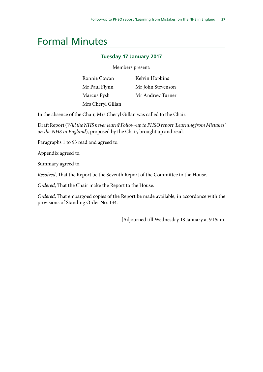## <span id="page-38-0"></span>Formal Minutes

#### **Tuesday 17 January 2017**

Members present:

| Ronnie Cowan      | Kelvin Hopkins    |
|-------------------|-------------------|
| Mr Paul Flynn     | Mr John Stevenson |
| Marcus Fysh       | Mr Andrew Turner  |
| Mrs Cheryl Gillan |                   |

In the absence of the Chair, Mrs Cheryl Gillan was called to the Chair.

Draft Report (*Will the NHS never learn? Follow-up to PHSO report 'Learning from Mistakes' on the NHS in England*), proposed by the Chair, brought up and read.

Paragraphs 1 to 93 read and agreed to.

Appendix agreed to.

Summary agreed to.

*Resolved*, That the Report be the Seventh Report of the Committee to the House.

*Ordered*, That the Chair make the Report to the House.

*Ordered*, That embargoed copies of the Report be made available, in accordance with the provisions of Standing Order No. 134.

[Adjourned till Wednesday 18 January at 9.15am.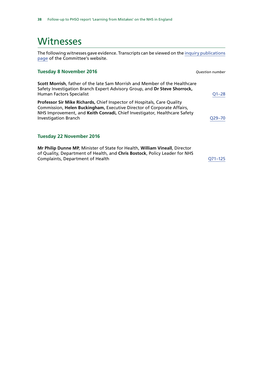### <span id="page-39-0"></span>Witnesses

The following witnesses gave evidence. Transcripts can be viewed on the [inquiry publications](http://www.parliament.uk/business/committees/committees-a-z/commons-select/public-administration-and-constitutional-affairs-committee/inquiries/parliament-2015/phso-learning-from-mistakes-inquiry/publications/) [page](http://www.parliament.uk/business/committees/committees-a-z/commons-select/public-administration-and-constitutional-affairs-committee/inquiries/parliament-2015/phso-learning-from-mistakes-inquiry/publications/) of the Committee's website.

#### **Tuesday 8 November 2016** *Question number*

**Scott Morrish**, father of the late Sam Morrish and Member of the Healthcare Safety Investigation Branch Expert Advisory Group, and **Dr Steve Shorrock,**  Human Factors Specialist [Q1–28](http://data.parliament.uk/writtenevidence/committeeevidence.svc/evidencedocument/public-administration-and-constitutional-affairs-committee/phso-learning-from-mistakes/oral/42976.html) 

**Professor Sir Mike Richards,** Chief Inspector of Hospitals, Care Quality Commission, **Helen Buckingham,** Executive Director of Corporate Affairs, NHS Improvement, and **Keith Conradi,** Chief Investigator, Healthcare Safety Investigation Branch Q29-70

#### **Tuesday 22 November 2016**

**Mr Philip Dunne MP**, Minister of State for Health, **William Vineall**, Director of Quality, Department of Health, and **Chris Bostock**, Policy Leader for NHS Complaints, Department of Health Complaints, Department of Health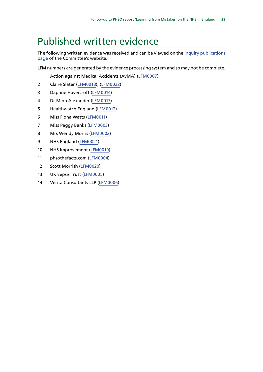## <span id="page-40-0"></span>Published written evidence

The following written evidence was received and can be viewed on the [inquiry publications](http://www.parliament.uk/business/committees/committees-a-z/commons-select/public-administration-and-constitutional-affairs-committee/inquiries/parliament-2015/phso-learning-from-mistakes-inquiry/publications/) [page](http://www.parliament.uk/business/committees/committees-a-z/commons-select/public-administration-and-constitutional-affairs-committee/inquiries/parliament-2015/phso-learning-from-mistakes-inquiry/publications/) of the Committee's website.

LFM numbers are generated by the evidence processing system and so may not be complete.

- 1 Action against Medical Accidents (AvMA) [\(LFM0007\)](http://data.parliament.uk/WrittenEvidence/CommitteeEvidence.svc/EvidenceDocument/Public%20Administration%20and%20Constitutional%20Affairs%20Committee%20/PHSO%20Learning%20from%20Mistakes/written/42655.html)
- 2 Claire Slater [\(LFM0018](http://data.parliament.uk/WrittenEvidence/CommitteeEvidence.svc/EvidenceDocument/Public%20Administration%20and%20Constitutional%20Affairs%20Committee%20/PHSO%20Learning%20from%20Mistakes/written/43728.html)); [\(LFM0022](http://data.parliament.uk/writtenevidence/committeeevidence.svc/evidencedocument/public-administration-and-constitutional-affairs-committee/phso-learning-from-mistakes/written/44773.html))
- 3 Daphne Havercroft ([LFM0014](http://data.parliament.uk/WrittenEvidence/CommitteeEvidence.svc/EvidenceDocument/Public%20Administration%20and%20Constitutional%20Affairs%20Committee%20/PHSO%20Learning%20from%20Mistakes/written/43475.html))
- 4 Dr Minh Alexander ([LFM0013](http://data.parliament.uk/WrittenEvidence/CommitteeEvidence.svc/EvidenceDocument/Public%20Administration%20and%20Constitutional%20Affairs%20Committee%20/PHSO%20Learning%20from%20Mistakes/written/43232.html))
- 5 Healthwatch England [\(LFM0012](http://data.parliament.uk/WrittenEvidence/CommitteeEvidence.svc/EvidenceDocument/Public%20Administration%20and%20Constitutional%20Affairs%20Committee%20/PHSO%20Learning%20from%20Mistakes/written/42765.html))
- 6 Miss Fiona Watts [\(LFM0011\)](http://data.parliament.uk/WrittenEvidence/CommitteeEvidence.svc/EvidenceDocument/Public%20Administration%20and%20Constitutional%20Affairs%20Committee%20/PHSO%20Learning%20from%20Mistakes/written/42718.html)
- 7 Miss Peggy Banks [\(LFM0003\)](http://data.parliament.uk/WrittenEvidence/CommitteeEvidence.svc/EvidenceDocument/Public%20Administration%20and%20Constitutional%20Affairs%20Committee%20/PHSO%20Learning%20from%20Mistakes/written/42395.html)
- 8 Mrs Wendy Morris ([LFM0002\)](http://data.parliament.uk/WrittenEvidence/CommitteeEvidence.svc/EvidenceDocument/Public%20Administration%20and%20Constitutional%20Affairs%20Committee%20/PHSO%20Learning%20from%20Mistakes/written/42166.html)
- 9 NHS England [\(LFM0021\)](http://data.parliament.uk/WrittenEvidence/CommitteeEvidence.svc/EvidenceDocument/Public%20Administration%20and%20Constitutional%20Affairs%20Committee%20/PHSO%20Learning%20from%20Mistakes/written/43810.html)
- 10 NHS Improvement ([LFM0019](http://data.parliament.uk/WrittenEvidence/CommitteeEvidence.svc/EvidenceDocument/Public%20Administration%20and%20Constitutional%20Affairs%20Committee%20/PHSO%20Learning%20from%20Mistakes/written/43795.html))
- 11 phsothefacts.com [\(LFM0004\)](http://data.parliament.uk/WrittenEvidence/CommitteeEvidence.svc/EvidenceDocument/Public%20Administration%20and%20Constitutional%20Affairs%20Committee%20/PHSO%20Learning%20from%20Mistakes/written/42453.html)
- 12 Scott Morrish [\(LFM0020\)](http://data.parliament.uk/WrittenEvidence/CommitteeEvidence.svc/EvidenceDocument/Public%20Administration%20and%20Constitutional%20Affairs%20Committee%20/PHSO%20Learning%20from%20Mistakes/written/43803.html)
- 13 UK Sepsis Trust ([LFM0005](http://data.parliament.uk/WrittenEvidence/CommitteeEvidence.svc/EvidenceDocument/Public%20Administration%20and%20Constitutional%20Affairs%20Committee%20/PHSO%20Learning%20from%20Mistakes/written/42589.html))
- 14 Verita Consultants LLP [\(LFM0006\)](http://data.parliament.uk/WrittenEvidence/CommitteeEvidence.svc/EvidenceDocument/Public%20Administration%20and%20Constitutional%20Affairs%20Committee%20/PHSO%20Learning%20from%20Mistakes/written/42617.html)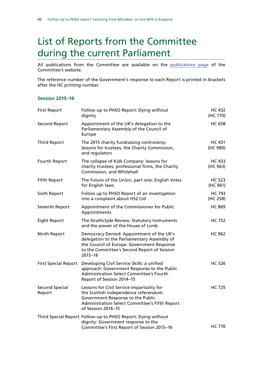## <span id="page-41-0"></span>List of Reports from the Committee during the current Parliament

All publications from the Committee are available on the [publications page](http://www.parliament.uk/business/committees/committees-a-z/commons-select/public-administration-and-constitutional-affairs-committee/publications/) of the Committee's website.

The reference number of the Government's response to each Report is printed in brackets after the HC printing number.

#### **Session 2015–16**

| <b>First Report</b>         | Follow-up to PHSO Report: Dying without<br>dignity                                                                                                                                                   | <b>HC 432</b><br>(HC 770) |
|-----------------------------|------------------------------------------------------------------------------------------------------------------------------------------------------------------------------------------------------|---------------------------|
| <b>Second Report</b>        | Appointment of the UK's delegation to the<br>Parliamentary Assembly of the Council of<br>Europe                                                                                                      | <b>HC 658</b>             |
| <b>Third Report</b>         | The 2015 charity fundraising controversy:<br>lessons for trustees, the Charity Commission,<br>and regulators                                                                                         | <b>HC 431</b><br>(HC 980) |
| Fourth Report               | The collapse of Kids Company: lessons for<br>charity trustees, professional firms, the Charity<br>Commission, and Whitehall                                                                          | HC 433<br>(HC 963)        |
| <b>Fifth Report</b>         | The Future of the Union, part one: English Votes<br>for English laws                                                                                                                                 | <b>HC 523</b><br>(HC 961) |
| Sixth Report                | Follow up to PHSO Report of an investigation<br>into a complaint about HS2 Ltd                                                                                                                       | <b>HC 793</b><br>(HC 258) |
| Seventh Report              | Appointment of the Commissioner for Public<br>Appointments                                                                                                                                           | <b>HC 869</b>             |
| <b>Eight Report</b>         | The Strathclyde Review: Statutory Instruments<br>and the power of the House of Lords                                                                                                                 | <b>HC 752</b>             |
| Ninth Report                | Democracy Denied: Appointment of the UK's<br>delegation to the Parliamentary Assembly of<br>the Council of Europe: Government Response<br>to the Committee's Second Report of Session<br>$2015 - 16$ | <b>HC 962</b>             |
| <b>First Special Report</b> | Developing Civil Service Skills: a unified<br>approach: Government Response to the Public<br><b>Administration Select Committee's Fourth</b><br>Report of Session 2014-15                            | <b>HC 526</b>             |
| Second Special<br>Report    | Lessons for Civil Service impartiality for<br>the Scottish independence referendum:<br>Government Response to the Public<br>Administration Select Committee's Fifth Report<br>of Session 2014-15     | <b>HC 725</b>             |
|                             | Third Special Report Follow-up to PHSO Report: Dying without<br>dignity: Government response to the<br>Committee's First Report of Session 2015-16                                                   | <b>HC 770</b>             |